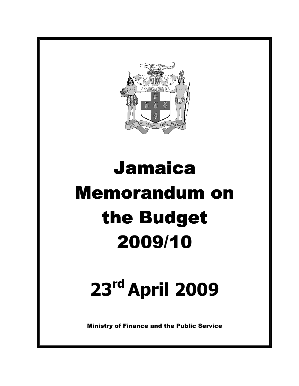

# Jamaica Memorandum on the Budget 2009/10

# 23rd April 2009

Ministry of Finance and the Public Service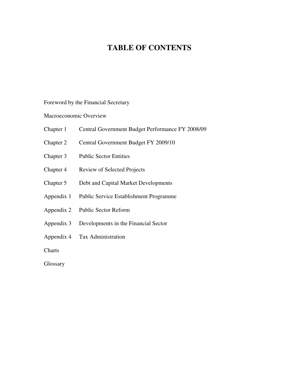# **TABLE OF CONTENTS**

Foreword by the Financial Secretary

Macroeconomic Overview

- Chapter 1 Central Government Budget Performance FY 2008/09
- Chapter 2 Central Government Budget FY 2009/10
- Chapter 3 Public Sector Entities
- Chapter 4 Review of Selected Projects
- Chapter 5 Debt and Capital Market Developments
- Appendix 1 Public Service Establishment Programme
- Appendix 2 Public Sector Reform
- Appendix 3 Developments in the Financial Sector
- Appendix 4 Tax Administration

**Charts** 

Glossary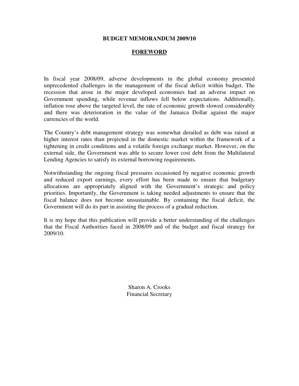#### **BUDGET MEMORANDUM 2009/10**

#### **FOREWORD**

In fiscal year 2008/09, adverse developments in the global economy presented unprecedented challenges in the management of the fiscal deficit within budget. The recession that arose in the major developed economies had an adverse impact on Government spending, while revenue inflows fell below expectations. Additionally, inflation rose above the targeted level, the rate of economic growth slowed considerably and there was deterioration in the value of the Jamaica Dollar against the major currencies of the world.

The Country's debt management strategy was somewhat derailed as debt was raised at higher interest rates than projected in the domestic market within the framework of a tightening in credit conditions and a volatile foreign exchange market. However, on the external side, the Government was able to secure lower cost debt from the Multilateral Lending Agencies to satisfy its external borrowing requirements.

Notwithstanding the ongoing fiscal pressures occasioned by negative economic growth and reduced export earnings, every effort has been made to ensure that budgetary allocations are appropriately aligned with the Government's strategic and policy priorities. Importantly, the Government is taking needed adjustments to ensure that the fiscal balance does not become unsustainable. By containing the fiscal deficit, the Government will do its part in assisting the process of a gradual reduction.

It is my hope that this publication will provide a better understanding of the challenges that the Fiscal Authorities faced in 2008/09 and of the budget and fiscal strategy for 2009/10.

> Sharon A. Crooks Financial Secretary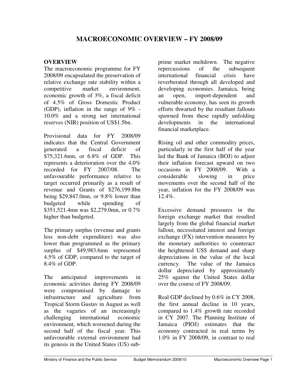## **OVERVIEW**

The macroeconomic programme for FY 2008/09 encapsulated the preservation of relative exchange rate stability within a competitive market environment, economic growth of 3%, a fiscal deficit of 4.5% of Gross Domestic Product (GDP), inflation in the range of  $9\%$  -10.0% and a strong net international reserves (NIR) position of US\$1.5bn.

Provisional data for FY 2008/09 indicates that the Central Government generated a fiscal deficit of \$75,321.6mn, or 6.8% of GDP. This represents a deterioration over the 4.0% recorded for FY 2007/08. The unfavourable performance relative to target occurred primarily as a result of revenue and Grants of \$276,199.8bn being \$29,847.0mn, or 9.8% lower than budgeted while spending of \$351,521.4mn was \$2,279.0mn, or 0.7% higher than budgeted.

The primary surplus (revenue and grants less non-debt expenditure) was also lower than programmed as the primary surplus of \$49,983.6mn represented 4.5% of GDP, compared to the target of 8.4% of GDP.

The anticipated improvements in economic activities during FY 2008/09 were compromised by damage to infrastructure and agriculture from Tropical Storm Gustav in August as well as the vagaries of an increasingly challenging international economic environment, which worsened during the second half of the fiscal year. This unfavourable external environment had its genesis in the United States (US) sub-

prime market meltdown. The negative repercussions of the subsequent international financial crisis have reverberated through all developed and developing economies. Jamaica, being an open, import-dependent and vulnerable economy, has seen its growth efforts thwarted by the resultant fallouts spawned from these rapidly unfolding developments in the international financial marketplace.

Rising oil and other commodity prices, particularly in the first half of the year led the Bank of Jamaica (BOJ) to adjust their inflation forecast upward on two occasions in FY 2008/09. With a considerable slowing in price movements over the second half of the year, inflation for the FY 2008/09 was 12.4%.

Excessive demand pressures in the foreign exchange market that resulted largely from the global financial market fallout, necessitated interest and foreign exchange (FX) intervention measures by the monetary authorities to counteract the heightened US\$ demand and sharp depreciations in the value of the local currency. The value of the Jamaica dollar depreciated by approximately 25% against the United States dollar over the course of FY 2008/09.

Real GDP declined by 0.6% in CY 2008, the first annual decline in 10 years, compared to 1.4% growth rate recorded in CY 2007. The Planning Institute of Jamaica (PIOJ) estimates that the economy contracted in real terms by 1.0% in FY 2008/09, in contrast to real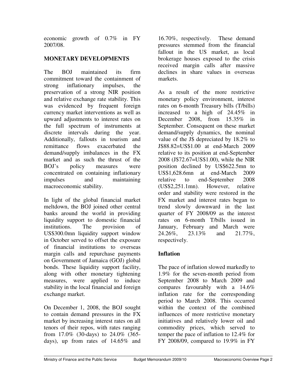economic growth of 0.7% in FY 2007/08.

# **MONETARY DEVELOPMENTS**

The BOJ maintained its firm commitment toward the containment of strong inflationary impulses, the preservation of a strong NIR position and relative exchange rate stability. This was evidenced by frequent foreign currency market interventions as well as upward adjustments to interest rates on the full spectrum of instruments at discrete intervals during the year. Additionally, fallouts in tourism and remittance flows exacerbated the demand/supply imbalances in the FX market and as such the thrust of the BOJ's policy measures were concentrated on containing inflationary impulses and maintaining macroeconomic stability.

In light of the global financial market meltdown, the BOJ joined other central banks around the world in providing liquidity support to domestic financial institutions. The provision of US\$300.0mn liquidity support window in October served to offset the exposure of financial institutions to overseas margin calls and repurchase payments on Government of Jamaica (GOJ) global bonds. These liquidity support facility, along with other monetary tightening measures, were applied to induce stability in the local financial and foreign exchange market.

On December 1, 2008, the BOJ sought to contain demand pressures in the FX market by increasing interest rates on all tenors of their repos, with rates ranging from 17.0% (30-days) to 24.0% (365 days), up from rates of 14.65% and

16.70%, respectively. These demand pressures stemmed from the financial fallout in the US market, as local brokerage houses exposed to the crisis received margin calls after massive declines in share values in overseas markets.

As a result of the more restrictive monetary policy environment, interest rates on 6-month Treasury bills (T/bills) increased to a high of 24.45% in December 2008, from 15.35% in September. Consequent on these market demand/supply dynamics, the nominal value of the J\$ depreciated by 18.2% to J\$88.82=US\$1.00 at end-March 2009 relative to its position at end-September 2008 (J\$72.67=US\$1.00), while the NIR position declined by US\$622.5mn to US\$1,628.6mn at end-March 2009 relative to end-September 2008 (US\$2,251.1mn). However, relative order and stability were restored in the FX market and interest rates began to trend slowly downward in the last quarter of FY 2008/09 as the interest rates on 6-month T/bills issued in January, February and March were 24.26%, 23.13% and 21.77%, respectively.

# **Inflation**

The pace of inflation slowed markedly to 1.9% for the seven-month period from September 2008 to March 2009 and compares favourably with a 14.6% inflation rate for the corresponding period to March 2008. This occurred within the context of the combined influences of more restrictive monetary initiatives and relatively lower oil and commodity prices, which served to temper the pace of inflation to 12.4% for FY 2008/09, compared to 19.9% in FY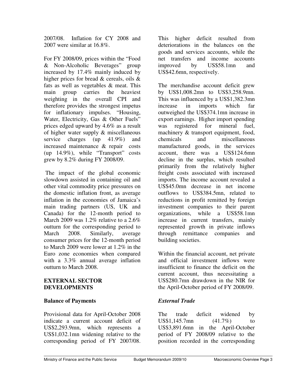2007/08. Inflation for CY 2008 and 2007 were similar at 16.8%.

For FY 2008/09, prices within the "Food & Non-Alcoholic Beverages" group increased by 17.4% mainly induced by higher prices for bread & cereals, oils & fats as well as vegetables & meat. This main group carries the heaviest weighting in the overall CPI and therefore provides the strongest impetus for inflationary impulses. "Housing, Water, Electricity, Gas & Other Fuels" prices edged upward by 4.6% as a result of higher water supply & miscellaneous service charges (up 41.9%) and increased maintenance & repair costs (up 14.9%), while "Transport" costs grew by 8.2% during FY 2008/09.

 The impact of the global economic slowdown assisted in containing oil and other vital commodity price pressures on the domestic inflation front, as average inflation in the economies of Jamaica's main trading partners (US, UK and Canada) for the 12-month period to March 2009 was 1.2% relative to a 2.6% outturn for the corresponding period to March 2008. Similarly, average consumer prices for the 12-month period to March 2009 were lower at 1.2% in the Euro zone economies when compared with a 3.3% annual average inflation outturn to March 2008.

#### **EXTERNAL SECTOR DEVELOPMENTS**

## **Balance of Payments**

Provisional data for April-October 2008 indicate a current account deficit of US\$2,293.9mn, which represents a US\$1,032.1mn widening relative to the corresponding period of FY 2007/08.

This higher deficit resulted from deteriorations in the balances on the goods and services accounts, while the net transfers and income accounts improved by US\$58.1mn and US\$42.6mn, respectively.

The merchandise account deficit grew by US\$1,008.2mn to US\$3,258.9mn. This was influenced by a US\$1,382.3mn increase in imports which far outweighed the US\$374.1mn increase in export earnings. Higher import spending was registered for mineral fuel, machinery & transport equipment, food, chemicals and miscellaneous manufactured goods, in the services account, there was a US\$124.6mn decline in the surplus, which resulted primarily from the relatively higher freight costs associated with increased imports. The income account revealed a US\$45.0mn decrease in net income outflows to US\$384.5mn, related to reductions in profit remitted by foreign investment companies to their parent organizations, while a US\$58.1mn increase in current transfers, mainly represented growth in private inflows through remittance companies and building societies.

Within the financial account, net private and official investment inflows were insufficient to finance the deficit on the current account, thus necessitating a US\$280.7mn drawdown in the NIR for the April-October period of FY 2008/09.

## *External Trade*

The trade deficit widened by US\$1,145.7mn  $(41.7\%)$  to US\$3,891.6mn in the April-October period of FY 2008/09 relative to the position recorded in the corresponding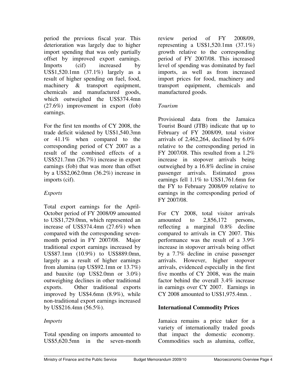period the previous fiscal year. This deterioration was largely due to higher import spending that was only partially offset by improved export earnings. Imports (cif) increased by US\$1,520.1mn (37.1%) largely as a result of higher spending on fuel, food, machinery & transport equipment, chemicals and manufactured goods, which outweighed the US\$374.4mn (27.6%) improvement in export (fob) earnings.

For the first ten months of CY 2008, the trade deficit widened by US\$1,540.3mn or 41.1% when compared to the corresponding period of CY 2007 as a result of the combined effects of a US\$521.7mn (26.7%) increase in export earnings (fob) that was more than offset by a US\$2,062.0mn (36.2%) increase in imports (cif).

# *Exports*

Total export earnings for the April-October period of FY 2008/09 amounted to US\$1,729.0mn, which represented an increase of US\$374.4mn (27.6%) when compared with the corresponding sevenmonth period in FY 2007/08. Major traditional export earnings increased by US\$87.1mn (10.9%) to US\$889.0mn, largely as a result of higher earnings from alumina (up US\$92.1mn or 13.7%) and bauxite (up US\$2.0mn or 3.0%) outweighing declines in other traditional exports. Other traditional exports improved by US\$4.6mn (8.9%), while non-traditional export earnings increased by US\$216.4mn (56.5%).

# *Imports*

Total spending on imports amounted to US\$5,620.5mn in the seven-month

review period of FY 2008/09, representing a US\$1,520.1mn  $(37.1\%)$ growth relative to the corresponding period of FY 2007/08. This increased level of spending was dominated by fuel imports, as well as from increased import prices for food, machinery and transport equipment, chemicals and manufactured goods.

## *Tourism*

Provisional data from the Jamaica Tourist Board (JTB) indicate that up to February of FY 2008/09, total visitor arrivals of 2,462,264, declined by  $6.0\%$ relative to the corresponding period in FY 2007/08. This resulted from a 1.2% increase in stopover arrivals being outweighed by a 16.8% decline in cruise passenger arrivals. Estimated gross earnings fell 1.1% to US\$1,761.6mn for the FY to February 2008/09 relative to earnings in the corresponding period of FY 2007/08.

For CY 2008, total visitor arrivals amounted to 2,856,172 persons, reflecting a marginal 0.8% decline compared to arrivals in CY 2007. This performance was the result of a 3.9% increase in stopover arrivals being offset by a 7.7% decline in cruise passenger arrivals. However, higher stopover arrivals, evidenced especially in the first five months of CY 2008, was the main factor behind the overall 3.4% increase in earnings over CY 2007. Earnings in CY 2008 amounted to US\$1,975.4mn. .

# **International Commodity Prices**

Jamaica remains a price taker for a variety of internationally traded goods that impact the domestic economy. Commodities such as alumina, coffee,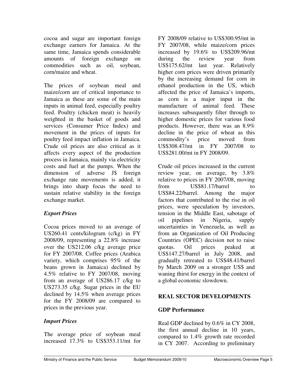cocoa and sugar are important foreign exchange earners for Jamaica. At the same time, Jamaica spends considerable amounts of foreign exchange on commodities such as oil, soybean, corn/maize and wheat.

The prices of soybean meal and maize/corn are of critical importance to Jamaica as these are some of the main inputs in animal feed, especially poultry feed. Poultry (chicken meat) is heavily weighted in the basket of goods and services (Consumer Price Index) and movement in the prices of inputs for poultry feed impact inflation in Jamaica. Crude oil prices are also critical as it affects every aspect of the production process in Jamaica, mainly via electricity costs and fuel at the pumps. When the dimension of adverse J\$ foreign exchange rate movements is added, it brings into sharp focus the need to sustain relative stability in the foreign exchange market.

## *Export Prices*

Cocoa prices moved to an average of US260.41 cents/kilogram (c/kg) in FY 2008/09, representing a 22.8% increase over the US212.06 c/kg average price for FY 2007/08. Coffee prices (Arabica variety, which comprises 95% of the beans grown in Jamaica) declined by 4.5% relative to FY 2007/08, moving from an average of US286.17 c/kg to US273.35 c/kg. Sugar prices in the EU declined by 14.5% when average prices for the FY 2008/09 are compared to prices in the previous year.

## *Import Prices*

The average price of soybean meal increased 17.3% to US\$353.11/mt for FY 2008/09 relative to US\$300.95/mt in FY 2007/08, while maize/corn prices increased by 19.6% to US\$209.96/mt during the review year from US\$175.62/mt last year. Relatively higher corn prices were driven primarily by the increasing demand for corn in ethanol production in the US, which affected the price of Jamaica's imports, as corn is a major input in the manufacture of animal feed. These increases subsequently filter through to higher domestic prices for various food products. However, there was an 8.9% decline in the price of wheat as this commodity's price moved from US\$308.47/mt in FY 2007/08 to US\$281.00/mt in FY 2008/09.

Crude oil prices increased in the current review year, on average, by 3.8% relative to prices in FY 2007/08, moving from US\$81.17/barrel to US\$84.22/barrel. Among the major factors that contributed to the rise in oil prices, were speculation by investors, tension in the Middle East, sabotage of oil pipelines in Nigeria, supply uncertainties in Venezuela, as well as from an Organization of Oil Producing Countries (OPEC) decision not to raise quotas. Oil prices peaked at US\$147.27/barrel in July 2008, and gradually retreated to US\$48.41/barrel by March 2009 on a stronger US\$ and waning thirst for energy in the context of a global economic slowdown.

# **REAL SECTOR DEVELOPMENTS**

## **GDP Performance**

Real GDP declined by 0.6% in CY 2008, the first annual decline in 10 years, compared to 1.4% growth rate recorded in CY 2007. According to preliminary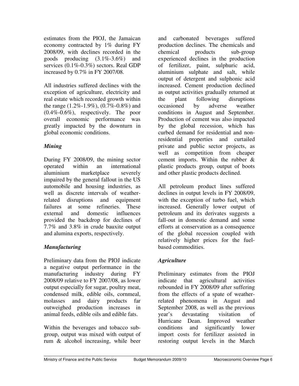estimates from the PIOJ, the Jamaican economy contracted by 1% during FY 2008/09, with declines recorded in the goods producing (3.1%-3.6%) and services (0.1%-0.3%) sectors. Real GDP increased by 0.7% in FY 2007/08.

All industries suffered declines with the exception of agriculture, electricity and real estate which recorded growth within the range  $(1.2\% - 1.9\%)$ ,  $(0.7\% - 0.8\%)$  and (0.4%-0.6%), respectively. The poor overall economic performance was greatly impacted by the downturn in global economic conditions.

# *Mining*

During FY 2008/09, the mining sector operated within an international aluminium marketplace severely impaired by the general fallout in the US automobile and housing industries, as well as discrete intervals of weatherrelated disruptions and equipment failures at some refineries. These external and domestic influences provided the backdrop for declines of 7.7% and 3.8% in crude bauxite output and alumina exports, respectively.

# *Manufacturing*

Preliminary data from the PIOJ indicate a negative output performance in the manufacturing industry during FY 2008/09 relative to FY 2007/08, as lower output especially for sugar, poultry meat, condensed milk, edible oils, cornmeal, molasses and dairy products far outweighed production increases in animal feeds, edible oils and edible fats.

Within the beverages and tobacco subgroup, output was mixed with output of rum & alcohol increasing, while beer

and carbonated beverages suffered production declines. The chemicals and chemical products sub-group experienced declines in the production of fertilizer, paint, sulphuric acid, aluminium sulphate and salt, while output of detergent and sulphonic acid increased. Cement production declined as output activities gradually returned at the plant following disruptions occasioned by adverse weather conditions in August and September. Production of cement was also impacted by the global recession, which has curbed demand for residential and nonresidential properties and curtailed private and public sector projects, as well as competition from cheaper cement imports. Within the rubber & plastic products group, output of boots and other plastic products declined.

All petroleum product lines suffered declines in output levels in FY 2008/09, with the exception of turbo fuel, which increased. Generally lower output of petroleum and its derivates suggests a fall-out in domestic demand and some efforts at conservation as a consequence of the global recession coupled with relatively higher prices for the fuelbased commodities.

# *Agriculture*

Preliminary estimates from the PIOJ indicate that agricultural activities rebounded in FY 2008/09 after suffering from the effects of a spate of weatherrelated phenomena in August and September 2008, as well as the previous year's devastating visitation of Hurricane Dean. Improved weather conditions and significantly lower import costs for fertilizer assisted in restoring output levels in the March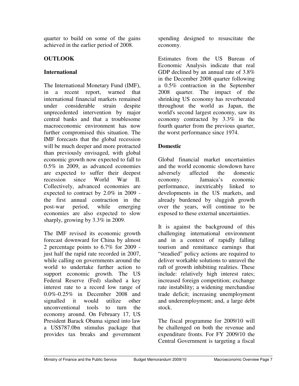quarter to build on some of the gains achieved in the earlier period of 2008.

# **OUTLOOK**

## **International**

The International Monetary Fund (IMF), in a recent report, warned that international financial markets remained under considerable strain despite unprecedented intervention by major central banks and that a troublesome macroeconomic environment has now further compromised this situation. The IMF forecasts that the global recession will be much deeper and more protracted than previously envisaged, with global economic growth now expected to fall to 0.5% in 2009, as advanced economies are expected to suffer their deepest recession since World War II. Collectively, advanced economies are expected to contract by 2.0% in 2009 the first annual contraction in the post-war period, while emerging economies are also expected to slow sharply, growing by 3.3% in 2009.

The IMF revised its economic growth forecast downward for China by almost 2 percentage points to 6.7% for 2009 just half the rapid rate recorded in 2007, while calling on governments around the world to undertake further action to support economic growth. The US Federal Reserve (Fed) slashed a key interest rate to a record low range of 0.0%-0.25% in December 2008 and signalled it would utilize other unconventional tools to turn the economy around. On February 17, US President Barack Obama signed into law a US\$787.0bn stimulus package that provides tax breaks and government

spending designed to resuscitate the economy.

Estimates from the US Bureau of Economic Analysis indicate that real GDP declined by an annual rate of 3.8% in the December 2008 quarter following a 0.5% contraction in the September 2008 quarter. The impact of the shrinking US economy has reverberated throughout the world as Japan, the world's second largest economy, saw its economy contracted by 3.3% in the fourth quarter from the previous quarter, the worst performance since 1974.

# **Domestic**

Global financial market uncertainties and the world economic slowdown have adversely affected the domestic economy. Jamaica's economic performance, inextricably linked to developments in the US markets, and already burdened by sluggish growth over the years, will continue to be exposed to these external uncertainties.

It is against the background of this challenging international environment and in a context of rapidly falling tourism and remittance earnings that "steadied" policy actions are required to deliver workable solutions to unravel the raft of growth inhibiting realities. These include: relatively high interest rates; increased foreign competition; exchange rate instability; a widening merchandise trade deficit; increasing unemployment and underemployment; and, a large debt stock.

The fiscal programme for 2009/10 will be challenged on both the revenue and expenditure fronts. For FY 2009/10 the Central Government is targeting a fiscal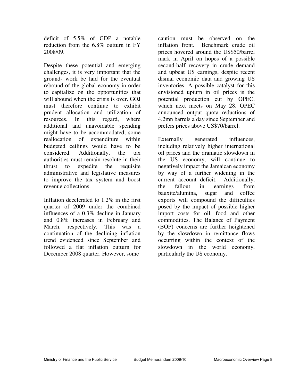deficit of 5.5% of GDP a notable reduction from the 6.8% outturn in FY 2008/09.

Despite these potential and emerging challenges, it is very important that the ground- work be laid for the eventual rebound of the global economy in order to capitalize on the opportunities that will abound when the crisis is over. GOJ must therefore continue to exhibit prudent allocation and utilization of resources. In this regard, where additional and unavoidable spending might have to be accommodated, some reallocation of expenditure within budgeted ceilings would have to be considered. Additionally, the tax authorities must remain resolute in their thrust to expedite the requisite administrative and legislative measures to improve the tax system and boost revenue collections.

Inflation decelerated to 1.2% in the first quarter of 2009 under the combined influences of a 0.3% decline in January and 0.8% increases in February and March, respectively. This was a continuation of the declining inflation trend evidenced since September and followed a flat inflation outturn for December 2008 quarter. However, some

caution must be observed on the inflation front. Benchmark crude oil prices hovered around the US\$50/barrel mark in April on hopes of a possible second-half recovery in crude demand and upbeat US earnings, despite recent dismal economic data and growing US inventories. A possible catalyst for this envisioned upturn in oil prices is the potential production cut by OPEC, which next meets on May 28. OPEC announced output quota reductions of 4.2mn barrels a day since September and prefers prices above US\$70/barrel.

Externally generated influences, including relatively higher international oil prices and the dramatic slowdown in the US economy, will continue to negatively impact the Jamaican economy by way of a further widening in the current account deficit. Additionally, the fallout in earnings from bauxite/alumina, sugar and coffee exports will compound the difficulties posed by the impact of possible higher import costs for oil, food and other commodities. The Balance of Payment (BOP) concerns are further heightened by the slowdown in remittance flows occurring within the context of the slowdown in the world economy, particularly the US economy.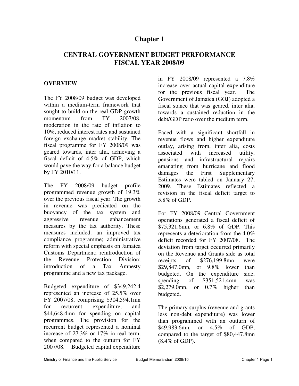# **Chapter 1**

# **CENTRAL GOVERNMENT BUDGET PERFORMANCE FISCAL YEAR 2008/09**

#### **OVERVIEW**

The FY 2008/09 budget was developed within a medium-term framework that sought to build on the real GDP growth momentum from FY 2007/08, moderation in the rate of inflation to 10%, reduced interest rates and sustained foreign exchange market stability. The fiscal programme for FY 2008/09 was geared towards, inter alia, achieving a fiscal deficit of 4.5% of GDP, which would pave the way for a balance budget by FY 2010/11.

The FY 2008/09 budget profile programmed revenue growth of 19.3% over the previous fiscal year. The growth in revenue was predicated on the buoyancy of the tax system and aggressive revenue enhancement measures by the tax authority. These measures included: an improved tax compliance programme; administrative reform with special emphasis on Jamaica Customs Department; reintroduction of the Revenue Protection Division; introduction of a Tax Amnesty programme and a new tax package.

Budgeted expenditure of \$349,242.4 represented an increase of 25.5% over FY 2007/08, comprising \$304,594.1mn for recurrent expenditure, and \$44,648.4mn for spending on capital programmes. The provision for the recurrent budget represented a nominal increase of 27.3% or 17% in real term, when compared to the outturn for FY 2007/08. Budgeted capital expenditure

in FY 2008/09 represented a 7.8% increase over actual capital expenditure for the previous fiscal year. The Government of Jamaica (GOJ) adopted a fiscal stance that was geared, inter alia, towards a sustained reduction in the debt/GDP ratio over the medium term.

Faced with a significant shortfall in revenue flows and higher expenditure outlay, arising from, inter alia, costs associated with increased utility, pensions and infrastructural repairs emanating from hurricane and flood damages the First Supplementary Estimates were tabled on January 27, 2009. These Estimates reflected a revision in the fiscal deficit target to 5.8% of GDP.

For FY 2008/09 Central Government operations generated a fiscal deficit of \$75,321.6mn, or 6.8% of GDP. This represents a deterioration from the 4.0% deficit recorded for FY 2007/08. The deviation from target occurred primarily on the Revenue and Grants side as total receipts of \$276,199.8mn were \$29,847.0mn, or 9.8% lower than budgeted. On the expenditure side, spending of \$351,521.4mn was \$2,279.0mn, or 0.7% higher than budgeted.

The primary surplus (revenue and grants less non-debt expenditure) was lower than programmed with an outturn of \$49,983.6mn, or 4.5% of GDP, compared to the target of \$80,447.8mn (8.4% of GDP).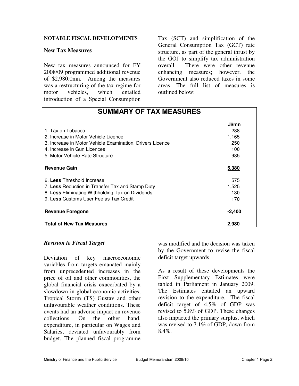#### **NOTABLE FISCAL DEVELOPMENTS**

#### **New Tax Measures**

New tax measures announced for FY 2008/09 programmed additional revenue of \$2,980.0mn. Among the measures was a restructuring of the tax regime for motor vehicles, which entailed introduction of a Special Consumption

Tax (SCT) and simplification of the General Consumption Tax (GCT) rate structure, as part of the general thrust by the GOJ to simplify tax administration overall. There were other revenue enhancing measures; however, the Government also reduced taxes in some areas. The full list of measures is outlined below:

| <b>SUMMARY OF TAX MEASURES</b>                            |              |  |  |  |
|-----------------------------------------------------------|--------------|--|--|--|
|                                                           | <b>J\$mn</b> |  |  |  |
| 1. Tax on Tobacco                                         | 288          |  |  |  |
| 2. Increase in Motor Vehicle Licence                      | 1,165        |  |  |  |
| 3. Increase in Motor Vehicle Examination, Drivers Licence | 250          |  |  |  |
| 4. Increase in Gun Licences                               | 100          |  |  |  |
| 5. Motor Vehicle Rate Structure                           | 985          |  |  |  |
| <b>Revenue Gain</b>                                       | 5,380        |  |  |  |
| 6. Less Threshold Increase                                | 575          |  |  |  |
| 7. Less Reduction in Transfer Tax and Stamp Duty          | 1,525        |  |  |  |
| 8. Less Eliminating Withholding Tax on Dividends          | 130          |  |  |  |
| 9. Less Customs User Fee as Tax Credit                    | 170          |  |  |  |
| <b>Revenue Foregone</b>                                   | $-2,400$     |  |  |  |
| <b>Total of New Tax Measures</b>                          | 2,980        |  |  |  |

#### *Revision to Fiscal Target*

Deviation of key macroeconomic variables from targets emanated mainly from unprecedented increases in the price of oil and other commodities, the global financial crisis exacerbated by a slowdown in global economic activities, Tropical Storm (TS) Gustav and other unfavourable weather conditions. These events had an adverse impact on revenue collections. On the other hand, expenditure, in particular on Wages and Salaries, deviated unfavourably from budget. The planned fiscal programme

was modified and the decision was taken by the Government to revise the fiscal deficit target upwards.

As a result of these developments the First Supplementary Estimates were tabled in Parliament in January 2009. The Estimates entailed an upward revision to the expenditure. The fiscal deficit target of 4.5% of GDP was revised to 5.8% of GDP. These changes also impacted the primary surplus, which was revised to 7.1% of GDP, down from  $8.4\%$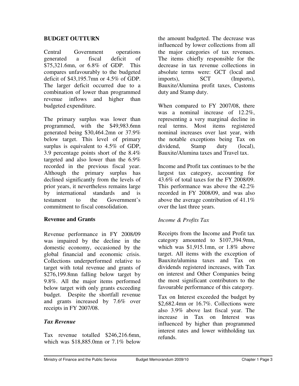#### **BUDGET OUTTURN**

Central Government operations generated a fiscal deficit of \$75,321.6mn, or 6.8% of GDP. This compares unfavourably to the budgeted deficit of \$43,195.7mn or 4.5% of GDP. The larger deficit occurred due to a combination of lower than programmed revenue inflows and higher than budgeted expenditure.

The primary surplus was lower than programmed, with the \$49,983.6mn generated being \$30,464.2mn or 37.9% below target. This level of primary surplus is equivalent to 4.5% of GDP, 3.9 percentage points short of the 8.4% targeted and also lower than the 6.9% recorded in the previous fiscal year. Although the primary surplus has declined significantly from the levels of prior years, it nevertheless remains large by international standards and is testament to the Government's commitment to fiscal consolidation.

#### **Revenue and Grants**

Revenue performance in FY 2008/09 was impaired by the decline in the domestic economy, occasioned by the global financial and economic crisis. Collections underperformed relative to target with total revenue and grants of \$276,199.8mn falling below target by 9.8%. All the major items performed below target with only grants exceeding budget. Despite the shortfall revenue and grants increased by 7.6% over receipts in FY 2007/08.

#### *Tax Revenue*

Tax revenue totalled \$246,216.6mn, which was \$18,885.0mn or 7.1% below the amount budgeted. The decrease was influenced by lower collections from all the major categories of tax revenues. The items chiefly responsible for the decrease in tax revenue collections in absolute terms were: GCT (local and imports), SCT (Imports), Bauxite/Alumina profit taxes, Customs duty and Stamp duty.

When compared to FY 2007/08, there was a nominal increase of 12.2%, representing a very marginal decline in real terms. Most items registered nominal increases over last year, with the notable exceptions being Tax on dividend, Stamp duty (local), Bauxite/Alumina taxes and Travel tax.

Income and Profit tax continues to be the largest tax category, accounting for 43.6% of total taxes for the FY 2008/09. This performance was above the 42.2% recorded in FY 2008/09, and was also above the average contribution of 41.1% over the last three years.

#### *Income & Profits Tax*

Receipts from the Income and Profit tax category amounted to \$107,394.9mn, which was \$1,915.1mn, or 1.8% above target. All items with the exception of Bauxite/alumina taxes and Tax on dividends registered increases, with Tax on interest and Other Companies being the most significant contributors to the favourable performance of this category.

Tax on Interest exceeded the budget by \$2,682.4mn or 16.7%. Collections were also 3.9% above last fiscal year. The increase in Tax on Interest was influenced by higher than programmed interest rates and lower withholding tax refunds.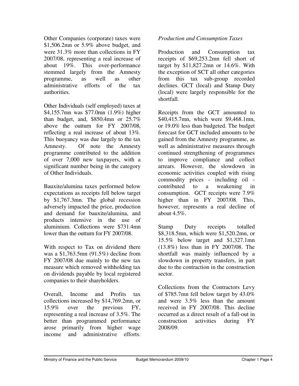Other Companies (corporate) taxes were \$1,506.2mn or 5.9% above budget, and were 31.3% more than collections in FY 2007/08, representing a real increase of about 19%. This over-performance stemmed largely from the Amnesty programme, as well as other administrative efforts of the tax authorities.

Other Individuals (self employed) taxes at \$4,155.7mn was \$77.0mn (1.9%) higher than budget, and,  $$850.4mn$  or  $25.7\%$ above the outturn for FY 2007/08, reflecting a real increase of about 13%. This buoyancy was due largely to the tax Amnesty. Of note the Amnesty programme contributed to the addition of over 7,000 new taxpayers, with a significant number being in the category of Other Individuals.

Bauxite/alumina taxes performed below expectations as receipts fell below target by \$1,767.3mn. The global recession adversely impacted the price, production and demand for bauxite/alumina, and products intensive in the use of aluminium. Collections were \$731.4mn lower than the outturn for FY 2007/08.

With respect to Tax on dividend there was a \$1,763.5mn (91.5%) decline from FY 2007/08 due mainly to the new tax measure which removed withholding tax on dividends payable by local registered companies to their shareholders.

Overall, Income and Profits tax collections increased by \$14,769.2mn, or 15.9% over the previous FY, representing a real increase of 3.5%. The better than programmed performance arose primarily from higher wage income and administrative efforts.

## *Production and Consumption Taxes*

Production and Consumption tax receipts of \$69,253.2mn fell short of target by \$11,827.2mn or 14.6%. With the exception of SCT all other categories from this tax sub-group recorded declines. GCT (local) and Stamp Duty (local) were largely responsible for the shortfall.

Receipts from the GCT amounted to \$40,415.7mn, which were \$9,468.1mn, or 19.0% less than budgeted. The budget forecast for GCT included amounts to be gained from the Amnesty programme, as well as administrative measures through continued strengthening of programmes to improve compliance and collect arrears. However, the slowdown in economic activities coupled with rising commodity prices - including oil contributed to a weakening in consumption. GCT receipts were 7.9% higher than in FY 2007/08. This, however, represents a real decline of about  $4.5\%$ .

Stamp Duty receipts totalled \$8,318.5mn, which were \$1,520.2mn, or 15.5% below target and \$1,327.1mn (13.8%) less than in FY 2007/08. The shortfall was mainly influenced by a slowdown in property transfers, in part due to the contraction in the construction sector.

Collections from the Contractors Levy of \$785.7mn fell below target by 43.0% and were 3.5% less than the amount received in FY 2007/08. This decline occurred as a direct result of a fall-out in construction activities during FY 2008/09.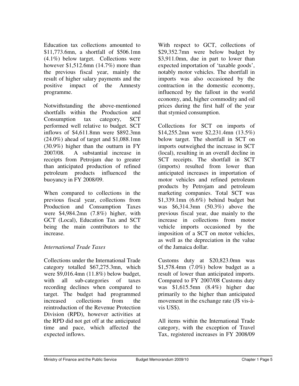Education tax collections amounted to \$11,773.6mn, a shortfall of \$506.1mn (4.1%) below target. Collections were however \$1,512.6mn (14.7%) more than the previous fiscal year, mainly the result of higher salary payments and the positive impact of the Amnesty programme.

Notwithstanding the above-mentioned shortfalls within the Production and Consumption tax category, SCT performed well relative to budget. SCT inflows of \$4,611.8mn were \$892.3mn (24.0%) ahead of target and \$1,088.1mn (30.9%) higher than the outturn in FY 2007/08. A substantial increase in receipts from Petrojam due to greater than anticipated production of refined petroleum products influenced the buoyancy in FY 2008/09.

When compared to collections in the previous fiscal year, collections from Production and Consumption Taxes were \$4,984.2mn (7.8%) higher, with GCT (Local), Education Tax and SCT being the main contributors to the increase.

## *International Trade Taxes*

Collections under the International Trade category totalled \$67,275.3mn, which were \$9,016.4mn (11.8%) below budget, with all sub-categories of taxes recording declines when compared to target. The budget had programmed increased collections from the reintroduction of the Revenue Protection Division (RPD), however activities at the RPD did not get off at the anticipated time and pace, which affected the expected inflows.

With respect to GCT, collections of \$29,352.7mn were below budget by \$3,911.0mn, due in part to lower than expected importation of 'taxable goods', notably motor vehicles. The shortfall in imports was also occasioned by the contraction in the domestic economy, influenced by the fallout in the world economy, and, higher commodity and oil prices during the first half of the year that stymied consumption.

Collections for SCT on imports of \$14,255.2mn were \$2,231.4mn (13.5%) below target. The shortfall in SCT on imports outweighed the increase in SCT (local), resulting in an overall decline in SCT receipts. The shortfall in SCT (imports) resulted from lower than anticipated increases in importation of motor vehicles and refined petroleum products by Petrojam and petroleum marketing companies. Total SCT was \$1,339.1mn (6.6%) behind budget but was \$6,314.3mn (50.3%) above the previous fiscal year, due mainly to the increase in collections from motor vehicle imports occasioned by the imposition of a SCT on motor vehicles, as well as the depreciation in the value of the Jamaica dollar.

Customs duty at \$20,823.0mn was \$1,578.4mn (7.0%) below budget as a result of lower than anticipated imports. Compared to FY 2007/08 Customs duty was \$1,615.5mn (8.4%) higher due primarily to the higher than anticipated movement in the exchange rate (J\$ vis-àvis US\$).

All items within the International Trade category, with the exception of Travel Tax, registered increases in FY 2008/09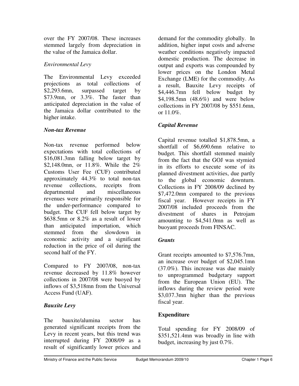over the FY 2007/08. These increases stemmed largely from depreciation in the value of the Jamaica dollar.

# *Environmental Levy*

The Environmental Levy exceeded projections as total collections of \$2,293.6mn, surpassed target by \$73.9mn, or 3.3%. The faster than anticipated depreciation in the value of the Jamaica dollar contributed to the higher intake.

## *Non-tax Revenue*

Non-tax revenue performed below expectations with total collections of \$16,081.3mn falling below target by \$2,148.0mn, or 11.8%. While the 2% Customs User Fee (CUF) contributed approximately 44.3% to total non-tax revenue collections, receipts from departmental and miscellaneous revenues were primarily responsible for the under-performance compared to budget. The CUF fell below target by \$638.5mn or 8.2% as a result of lower than anticipated importation, which stemmed from the slowdown in economic activity and a significant reduction in the price of oil during the second half of the FY.

Compared to FY 2007/08, non-tax revenue decreased by 11.8% however collections in 2007/08 were buoyed by inflows of \$3,518mn from the Universal Access Fund (UAF).

# *Bauxite Levy*

The bauxite/alumina sector has generated significant receipts from the Levy in recent years, but this trend was interrupted during FY 2008/09 as a result of significantly lower prices and demand for the commodity globally. In addition, higher input costs and adverse weather conditions negatively impacted domestic production. The decrease in output and exports was compounded by lower prices on the London Metal Exchange (LME) for the commodity. As a result, Bauxite Levy receipts of \$4,446.7mn fell below budget by \$4,198.5mn (48.6%) and were below collections in FY 2007/08 by \$551.6mn, or  $11.0\%$ .

# *Capital Revenue*

Capital revenue totalled \$1,878.5mn, a shortfall of \$6,690.6mn relative to budget. This shortfall stemmed mainly from the fact that the GOJ was stymied in its efforts to execute some of its planned divestment activities, due partly to the global economic downturn. Collections in FY 2008/09 declined by \$7,472.0mn compared to the previous fiscal year. However receipts in FY 2007/08 included proceeds from the divestment of shares in Petrojam amounting to \$4,541.0mn as well as buoyant proceeds from FINSAC.

# *Grants*

Grant receipts amounted to \$7,576.7mn, an increase over budget of \$2,045.1mn (37.0%). This increase was due mainly to unprogrammed budgetary support from the European Union (EU). The inflows during the review period were \$3,037.3mn higher than the previous fiscal year.

# **Expenditure**

Total spending for FY 2008/09 of \$351,521.4mn was broadly in line with budget, increasing by just 0.7%.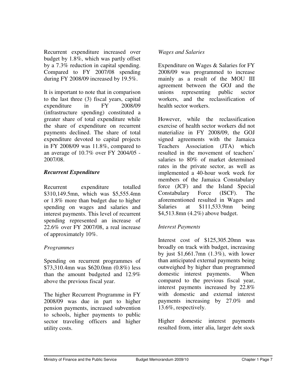Recurrent expenditure increased over budget by 1.8%, which was partly offset by a 7.3% reduction in capital spending. Compared to FY 2007/08 spending during FY 2008/09 increased by 19.5%.

It is important to note that in comparison to the last three (3) fiscal years, capital expenditure in FY 2008/09 (infrastructure spending) constituted a greater share of total expenditure while the share of expenditure on recurrent payments declined. The share of total expenditure devoted to capital projects in FY 2008/09 was 11.8%, compared to an average of 10.7% over FY 2004/05 - 2007/08.

## *Recurrent Expenditure*

Recurrent expenditure totalled \$310,149.5mn, which was \$5,555.4mn or 1.8% more than budget due to higher spending on wages and salaries and interest payments. This level of recurrent spending represented an increase of 22.6% over FY 2007/08, a real increase of approximately 10%.

## *Programmes*

Spending on recurrent programmes of \$73,310.4mn was \$620.0mn (0.8%) less than the amount budgeted and 12.9% above the previous fiscal year.

The higher Recurrent Programme in FY 2008/09 was due in part to higher pension payments, increased subvention to schools, higher payments to public sector traveling officers and higher utility costs.

## *Wages and Salaries*

Expenditure on Wages & Salaries for FY 2008/09 was programmed to increase mainly as a result of the MOU III agreement between the GOJ and the unions representing public sector workers, and the reclassification of health sector workers.

However, while the reclassification exercise of health sector workers did not materialize in FY 2008/09, the GOJ signed agreements with the Jamaica Teachers Association (JTA) which resulted in the movement of teachers' salaries to 80% of market determined rates in the private sector, as well as implemented a 40-hour work week for members of the Jamaica Constabulary force (JCF) and the Island Special Constabulary Force (ISCF). The aforementioned resulted in Wages and Salaries at \$111,533.9mn being \$4,513.8mn (4.2%) above budget.

# *Interest Payments*

Interest cost of \$125,305.20mn was broadly on track with budget, increasing by just \$1,661.7mn (1.3%), with lower than anticipated external payments being outweighed by higher than programmed domestic interest payments. When compared to the previous fiscal year, interest payments increased by 22.8% with domestic and external interest payments increasing by 27.0% and 13.6%, respectively.

Higher domestic interest payments resulted from, inter alia, larger debt stock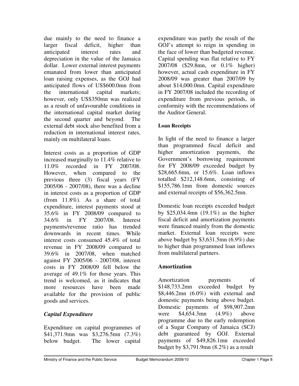due mainly to the need to finance a larger fiscal deficit, higher than anticipated interest rates and depreciation in the value of the Jamaica dollar. Lower external interest payments emanated from lower than anticipated loan raising expenses, as the GOJ had anticipated flows of US\$600.0mn from the international capital markets; however, only US\$350mn was realized as a result of unfavourable conditions in the international capital market during the second quarter and beyond. The external debt stock also benefited from a reduction in international interest rates, mainly on multilateral loans.

Interest costs as a proportion of GDP increased marginally to 11.4% relative to 11.0% recorded in FY 2007/08. However, when compared to the previous three (3) fiscal years (FY 2005/06 - 2007/08), there was a decline in interest costs as a proportion of GDP (from 11.8%). As a share of total expenditure, interest payments stood at 35.6% in FY 2008/09 compared to in FY 2007/08. Interest payments/revenue ratio has trended downwards in recent times. While interest costs consumed 45.4% of total revenue in FY 2008/09 compared to 39.6% in 2007/08, when matched against FY 2005/06 - 2007/08, interest costs in FY 2008/09 fell below the average of 49.1% for those years. This trend is welcomed, as it indicates that more resources have been made available for the provision of public goods and services.

## *Capital Expenditure*

Expenditure on capital programmes of \$41,371.9mn was \$3,276.5mn (7.3%) below budget. The lower capital

expenditure was partly the result of the GOJ's attempt to reign in spending in the face of lower than budgeted revenue. Capital spending was flat relative to FY 2007/08 (\$29.8mn, or 0.1% higher) however, actual cash expenditure in FY 2008/09 was greater than 2007/09 by about \$14,000.0mn. Capital expenditure in FY 2007/08 included the recording of expenditure from previous periods, in conformity with the recommendations of the Auditor General.

#### **Loan Receipts**

In light of the need to finance a larger than programmed fiscal deficit and higher amortization payments, the Government's borrowing requirement for FY 2008/09 exceeded budget by \$28,665.6mn, or 15.6%. Loan inflows totalled \$212,148.6mn, consisting of \$155,786.1mn from domestic sources and external receipts of \$56,362.5mn.

Domestic loan receipts exceeded budget by \$25,034.4mn (19.1%) as the higher fiscal deficit and amortization payments were financed mainly from the domestic market. External loan receipts were above budget by \$3,631.5mn (6.9%) due to higher than programmed loan inflows from multilateral partners.

## **Amortization**

Amortization payments of \$148,733.2mn exceeded budget by \$8,446.2mn (6.0%) with external and domestic payments being above budget. Domestic payments of \$98,907.2mn were \$4,654.3mn (4.9%) above programme due to the early redemption of a Sugar Company of Jamaica (SCJ) debt guaranteed by GOJ. External payments of \$49,826.1mn exceeded budget by \$3,791.9mn (8.2%) as a result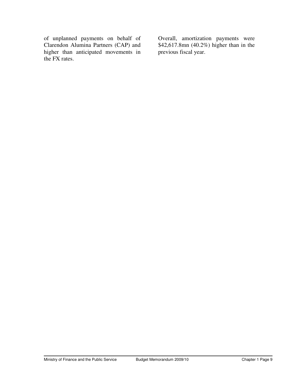of unplanned payments on behalf of Clarendon Alumina Partners (CAP) and higher than anticipated movements in the FX rates.

Overall, amortization payments were \$42,617.8mn (40.2%) higher than in the previous fiscal year.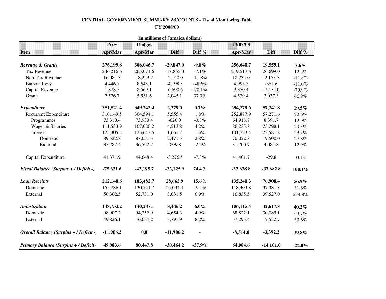#### **CENTRAL GOVERNMENT SUMMARY ACCOUNTS - Fiscal Monitoring TableFY 2008/09**

| (in millions of Jamaica dollars)              |             |             |             |           |             |             |           |
|-----------------------------------------------|-------------|-------------|-------------|-----------|-------------|-------------|-----------|
| <b>FY07/08</b><br>Prov<br><b>Budget</b>       |             |             |             |           |             |             |           |
| <b>Item</b>                                   | Apr-Mar     | Apr-Mar     | <b>Diff</b> | Diff %    | Apr-Mar     | Diff        | Diff %    |
| Revenue & Grants                              | 276,199.8   | 306,046.7   | $-29,847.0$ | $-9.8\%$  | 256,640.7   | 19,559.1    | $7.6\%$   |
| Tax Revenue                                   | 246,216.6   | 265,071.6   | $-18,855.0$ | $-7.1%$   | 219,517.6   | 26,699.0    | 12.2%     |
| Non-Tax Revenue                               | 16,081.3    | 18,229.2    | $-2,148.0$  | $-11.8%$  | 18,235.0    | $-2,153.7$  | $-11.8%$  |
| <b>Bauxite Levy</b>                           | 4,446.7     | 8,645.1     | $-4,198.5$  | $-48.6\%$ | 4,998.3     | $-551.6$    | $-11.0%$  |
| Capital Revenue                               | 1,878.5     | 8,569.1     | $-6,690.6$  | $-78.1%$  | 9,350.4     | $-7,472.0$  | $-79.9%$  |
| Grants                                        | 7,576.7     | 5,531.6     | 2,045.1     | 37.0%     | 4,539.4     | 3,037.3     | 66.9%     |
| <b>Expenditure</b>                            | 351,521.4   | 349,242.4   | 2,279.0     | $0.7\%$   | 294,279.6   | 57,241.8    | 19.5%     |
| <b>Recurrent Expenditure</b>                  | 310,149.5   | 304,594.1   | 5,555.4     | $1.8\%$   | 252,877.9   | 57,271.6    | 22.6%     |
| Programmes                                    | 73,310.4    | 73,930.4    | $-620.0$    | $-0.8%$   | 64,918.7    | 8,391.7     | 12.9%     |
| Wages & Salaries                              | 111,533.9   | 107,020.2   | 4,513.8     | 4.2%      | 86,235.8    | 25,298.1    | 29.3%     |
| Interest                                      | 125,305.2   | 123,643.5   | 1,661.7     | 1.3%      | 101,723.4   | 23,581.8    | 23.2%     |
| Domestic                                      | 89,522.8    | 87,051.3    | 2,471.5     | 2.8%      | 70,022.8    | 19,500.0    | 27.8%     |
| External                                      | 35,782.4    | 36,592.2    | $-809.8$    | $-2.2%$   | 31,700.7    | 4,081.8     | 12.9%     |
| Capital Expenditure                           | 41,371.9    | 44,648.4    | $-3,276.5$  | $-7.3%$   | 41,401.7    | $-29.8$     | $-0.1\%$  |
| <b>Fiscal Balance (Surplus + / Deficit -)</b> | $-75,321.6$ | $-43,195.7$ | $-32,125.9$ | 74.4%     | $-37,638.8$ | $-37,682.8$ | $100.1\%$ |
| <b>Loan Receipts</b>                          | 212,148.6   | 183,482.7   | 28,665.9    | 15.6%     | 135,240.3   | 76,908.4    | 56.9%     |
| Domestic                                      | 155,786.1   | 130,751.7   | 25,034.4    | 19.1%     | 118,404.8   | 37,381.3    | 31.6%     |
| External                                      | 56,362.5    | 52,731.0    | 3,631.5     | $6.9\%$   | 16,835.5    | 39,527.0    | 234.8%    |
| Amortization                                  | 148,733.2   | 140,287.1   | 8,446.2     | $6.0\%$   | 106,115.4   | 42,617.8    | 40.2%     |
| Domestic                                      | 98,907.2    | 94,252.9    | 4,654.3     | 4.9%      | 68,822.1    | 30,085.1    | 43.7%     |
| External                                      | 49,826.1    | 46,034.2    | 3,791.9     | $8.2\%$   | 37,293.4    | 12,532.7    | 33.6%     |
| Overall Balance (Surplus + / Deficit -        | $-11,906.2$ | 0.0         | $-11,906.2$ |           | $-8,514.0$  | $-3,392.2$  | 39.8%     |
| <b>Primary Balance (Surplus + / Deficit</b>   | 49,983.6    | 80,447.8    | $-30,464.2$ | $-37.9%$  | 64,084.6    | $-14,101.0$ | $-22.0%$  |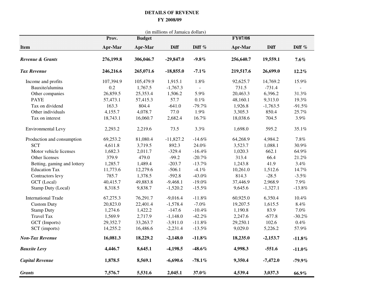#### **DETAILS OF REVENUE FY 2008/09**

| (in millions of Jamaica dollars) |                         |           |                       |           |                           |            |           |
|----------------------------------|-------------------------|-----------|-----------------------|-----------|---------------------------|------------|-----------|
| <b>Item</b>                      | Prov.<br><b>Apr-Mar</b> | Apr-Mar   | <b>Budget</b><br>Diff |           | <b>FY07/08</b><br>Apr-Mar | Diff       | Diff %    |
| Revenue & Grants                 | 276,199.8               | 306,046.7 | $-29,847.0$           | $-9.8\%$  | 256,640.7                 | 19,559.1   | $7.6\%$   |
| <b>Tax Revenue</b>               | 246,216.6               | 265,071.6 | $-18,855.0$           | $-7.1\%$  | 219,517.6                 | 26,699.0   | 12.2%     |
| Income and profits               | 107,394.9               | 105,479.9 | 1,915.1               | 1.8%      | 92,625.7                  | 14,769.2   | 15.9%     |
| Bauxite/alumina                  | 0.2                     | 1,767.5   | $-1,767.3$            |           | 731.5                     | $-731.4$   |           |
| Other companies                  | 26,859.5                | 25,353.4  | 1,506.2               | 5.9%      | 20,463.3                  | 6,396.2    | 31.3%     |
| <b>PAYE</b>                      | 57,473.1                | 57,415.3  | 57.7                  | 0.1%      | 48,160.1                  | 9,313.0    | 19.3%     |
| Tax on dividend                  | 163.3                   | 804.4     | $-641.0$              | $-79.7%$  | 1,926.8                   | $-1,763.5$ | $-91.5%$  |
| Other individuals                | 4,155.7                 | 4,078.7   | 77.0                  | 1.9%      | 3,305.3                   | 850.4      | 25.7%     |
| Tax on interest                  | 18,743.1                | 16,060.7  | 2,682.4               | 16.7%     | 18,038.6                  | 704.5      | 3.9%      |
| Environmental Levy               | 2,293.2                 | 2,219.6   | 73.5                  | 3.3%      | 1,698.0                   | 595.2      | 35.1%     |
| Production and consumption       | 69,253.2                | 81,080.4  | $-11,827.2$           | $-14.6%$  | 64,268.9                  | 4,984.2    | 7.8%      |
| <b>SCT</b>                       | 4,611.8                 | 3,719.5   | 892.3                 | 24.0%     | 3,523.7                   | 1,088.1    | 30.9%     |
| Motor vehicle licenses           | 1,682.3                 | 2,011.7   | $-329.4$              | $-16.4%$  | 1,020.3                   | 662.1      | 64.9%     |
| Other licenses                   | 379.9                   | 479.0     | $-99.2$               | $-20.7\%$ | 313.4                     | 66.4       | $21.2\%$  |
| Betting, gaming and lottery      | 1,285.7                 | 1,489.4   | $-203.7$              | $-13.7%$  | 1,243.8                   | 41.9       | 3.4%      |
| <b>Education Tax</b>             | 11,773.6                | 12,279.6  | $-506.1$              | $-4.1%$   | 10,261.0                  | 1,512.6    | 14.7%     |
| Contractors levy                 | 785.7                   | 1,378.5   | $-592.8$              | $-43.0\%$ | 814.3                     | $-28.5$    | $-3.5%$   |
| GCT (Local)                      | 40,415.7                | 49,883.8  | $-9,468.1$            | $-19.0\%$ | 37,446.9                  | 2,968.9    | 7.9%      |
| Stamp Duty (Local)               | 8,318.5                 | 9,838.7   | $-1,520.2$            | $-15.5%$  | 9,645.6                   | $-1,327.1$ | $-13.8%$  |
| <b>International Trade</b>       | 67,275.3                | 76,291.7  | $-9,016.4$            | $-11.8%$  | 60,925.0                  | 6,350.4    | 10.4%     |
| <b>Custom Duty</b>               | 20,823.0                | 22,401.4  | $-1,578.4$            | $-7.0%$   | 19,207.5                  | 1,615.5    | 8.4%      |
| <b>Stamp Duty</b>                | 1,274.6                 | 1,422.2   | $-147.6$              | $-10.4%$  | 1,190.8                   | 83.9       | 7.0%      |
| <b>Travel Tax</b>                | 1,569.9                 | 2,717.9   | $-1,148.0$            | $-42.2%$  | 2,247.6                   | $-677.8$   | $-30.2%$  |
| GCT (Imports)                    | 29,352.7                | 33,263.7  | $-3,911.0$            | $-11.8%$  | 29,250.1                  | 102.6      | $0.4\%$   |
| SCT (imports)                    | 14,255.2                | 16,486.6  | $-2,231.4$            | $-13.5%$  | 9,029.0                   | 5,226.2    | 57.9%     |
| <b>Non-Tax Revenue</b>           | 16,081.3                | 18,229.2  | $-2,148.0$            | $-11.8\%$ | 18,235.0                  | $-2,153.7$ | $-11.8%$  |
| <b>Bauxite Levy</b>              | 4,446.7                 | 8,645.1   | $-4,198.5$            | $-48.6\%$ | 4,998.3                   | $-551.6$   | $-11.0\%$ |
| <b>Capital Revenue</b>           | 1,878.5                 | 8,569.1   | $-6,690.6$            | $-78.1%$  | 9,350.4                   | $-7,472.0$ | $-79.9%$  |
| <b>Grants</b>                    | 7,576.7                 | 5,531.6   | 2,045.1               | 37.0%     | 4,539.4                   | 3,037.3    | 66.9%     |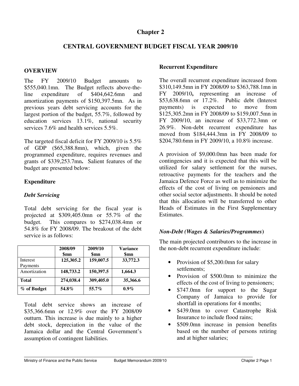#### **Chapter 2**

## **CENTRAL GOVERNMENT BUDGET FISCAL YEAR 2009/10**

#### **OVERVIEW**

The FY 2009/10 Budget amounts to \$555,040.1mn. The Budget reflects above-theline expenditure of \$404,642.6mn and amortization payments of \$150,397.5mn. As in previous years debt servicing accounts for the largest portion of the budget, 55.7%, followed by education services 13.1%, national security services 7.6% and health services 5.5%.

The targeted fiscal deficit for FY 2009/10 is 5.5% of GDP (\$65,388.8mn), which, given the programmed expenditure, requires revenues and grants of \$339,253.7mn**.** Salient features of the budget are presented below:

#### **Expenditure**

#### *Debt Servicing*

Total debt servicing for the fiscal year is projected at \$309,405.0mn or 55.7% of the budget. This compares to \$274,038.4mn or 54.8% for FY 2008/09. The breakout of the debt service is as follows:

|              | 2008/09<br>\$mn | 2009/10<br>\$mn | <b>Variance</b><br>\$mn |
|--------------|-----------------|-----------------|-------------------------|
| Interest     | 125,305.2       | 159,007.5       | 33,772.3                |
| Payments     |                 |                 |                         |
| Amortization | 148,733.2       | 150,397.5       | 1,664.3                 |
| <b>Total</b> | 274,038.4       | 309,405.0       | 35,366.6                |
| % of Budget  | 54.8%           | 55.7%           | $0.9\%$                 |

Total debt service shows an increase of \$35,366.6mn or 12.9% over the FY 2008/09 outturn. This increase is due mainly to a higher debt stock, depreciation in the value of the Jamaica dollar and the Central Government's assumption of contingent liabilities.

#### **Recurrent Expenditure**

The overall recurrent expenditure increased from \$310,149.5mn in FY 2008/09 to \$363,788.1mn in FY 2009/10**,** representing an increase of \$53,638.6mn or 17.2%. Public debt (Interest payments) is expected to move from \$125,305.2mn in FY 2008/09 to \$159,007.5mn in FY 2009/10, an increase of \$33,772.3mn or 26.9%. Non-debt recurrent expenditure has moved from \$184,444.3mn in FY 2008/09 to \$204,780.6mn in FY 2009/10, a 10.8% increase.

A provision of \$9,000.0mn has been made for contingencies and it is expected that this will be utilized for salary settlement for the nurses, retroactive payments for the teachers and the Jamaica Defence Force as well as to minimize the effects of the cost of living on pensioners and other social sector adjustments. It should be noted that this allocation will be transferred to other Heads of Estimates in the First Supplementary Estimates.

#### *Non-Debt (Wages & Salaries/Programmes***)**

The main projected contributors to the increase in the non-debt recurrent expenditure include:

- Provision of \$5,200.0mn for salary settlements;
- Provision of \$500.0mn to minimize the effects of the cost of living to pensioners;
- \$747.0mn for support to the Sugar Company of Jamaica to provide for shortfall in operations for 4 months;
- \$439.0mn to cover Catastrophe Risk Insurance to include flood rains;
- \$509.0mn increase in pension benefits based on the number of persons retiring and at higher salaries;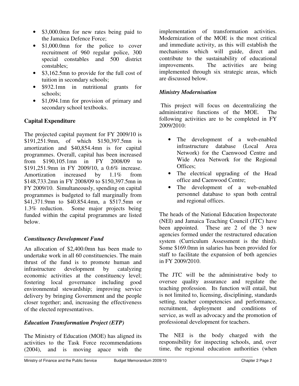- \$3,000.0mn for new rates being paid to the Jamaica Defence Force;
- \$1,000.0mn for the police to cover recruitment of 960 regular police, 300 special constables and 500 district constables;
- \$3,162.5mn to provide for the full cost of tuition in secondary schools;
- \$932.1mn in nutritional grants for schools;
- \$1,094.1mn for provision of primary and secondary school textbooks.

## **Capital Expenditure**

The projected capital payment for FY 2009/10 is \$191,251.9mn, of which \$150,397.5mn is amortization and \$40,854.4mn is for capital programmes. Overall, capital has been increased from \$190,105.1mn in FY 2008/09 to \$191,251.9mn in FY 2009/10, a 0.6% increase. Amortization increased by 1.1% from \$148,733.2mn in FY 2008/09 to \$150,397.5mn in FY 2009/10. Simultaneously, spending on capital programmes is budgeted to fall marginally from \$41,371.9mn to \$40.854.4mn, a \$517.5mn or 1.3% reduction. Some major projects being funded within the capital programmes are listed below.

## *Constituency Development Fund*

An allocation of \$2,400.0mn has been made to undertake work in all 60 constituencies. The main thrust of the fund is to promote human and infrastructure development by catalyzing economic activities at the constituency level; fostering local governance including good environmental stewardship; improving service delivery by bringing Government and the people closer together; and, increasing the effectiveness of the elected representatives.

## *Education Transformation Project (ETP)*

The Ministry of Education (MOE) has aligned its activities to the Task Force recommendations (2004), and is moving apace with the implementation of transformation activities. Modernization of the MOE is the most critical and immediate activity, as this will establish the mechanisms which will guide, direct and contribute to the sustainability of educational improvements. The activities are being implemented through six strategic areas, which are discussed below.

#### *Ministry Modernisation*

 This project will focus on decentralizing the administrative functions of the MOE. The following activities are to be completed in FY 2009/2010:

- The development of a web-enabled infrastructure database (Local Area Network) for the Caenwood Centre and Wide Area Network for the Regional Offices;
- The electrical upgrading of the Head office and Caenwood Centre;
- The development of a web-enabled personnel database to span both central and regional offices.

The heads of the National Education Inspectorate (NEI) and Jamaica Teaching Council (JTC) have been appointed. These are 2 of the 3 new agencies formed under the restructured education system (Curriculum Assessment is the third). Some \$169.0mn in salaries has been provided for staff to facilitate the expansion of both agencies in FY 2009/2010.

The JTC will be the administrative body to oversee quality assurance and regulate the teaching profession. Its function will entail, but is not limited to, licensing, disciplining, standards setting, teacher competencies and performance, recruitment, deployment and conditions of service, as well as advocacy and the promotion of professional development for teachers.

The NEI is the body charged with the responsibility for inspecting schools, and, over time, the regional education authorities (when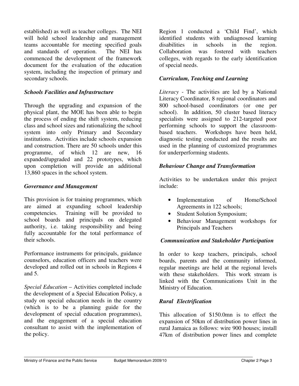established) as well as teacher colleges. The NEI will hold school leadership and management teams accountable for meeting specified goals and standards of operation. The NEI has commenced the development of the framework document for the evaluation of the education system, including the inspection of primary and secondary schools.

#### *Schools Facilities and Infrastructure*

Through the upgrading and expansion of the physical plant, the MOE has been able to begin the process of ending the shift system, reducing class and school sizes and rationalizing the school system into only Primary and Secondary institutions. Activities include schools expansion and construction. There are 50 schools under this programme, of which 12 are new, 16 expanded/upgraded and 22 prototypes, which upon completion will provide an additional 13,860 spaces in the school system.

#### *Governance and Management*

This provision is for training programmes, which are aimed at expanding school leadership competencies. Training will be provided to school boards and principals on delegated authority, i.e. taking responsibility and being fully accountable for the total performance of their schools.

Performance instruments for principals, guidance counselors, education officers and teachers were developed and rolled out in schools in Regions 4 and 5.

*Special Education* – Activities completed include the development of a Special Education Policy, a study on special education needs in the country (which is to be a planning guide for the development of special education programmes), and the engagement of a special education consultant to assist with the implementation of the policy.

Region 1 conducted a 'Child Find', which identified students with undiagnosed learning disabilities in schools in the region. Collaboration was fostered with teachers colleges, with regards to the early identification of special needs.

### *Curriculum, Teaching and Learning*

*Literacy* - The activities are led by a National Literacy Coordinator, 8 regional coordinators and 800 school-based coordinators (or one per school). In addition, 50 cluster based literacy specialists were assigned to 212-targeted poor performing schools to support the classroombased teachers. Workshops have been held, diagnostic testing conducted and the results are used in the planning of customized programmes for underperforming students.

#### *Behaviour Change and Transformation*

Activities to be undertaken under this project include:

- Implementation of Home/School Agreements in 122 schools;
- Student Solution Symposium;
- Behaviour Management workshops for Principals and Teachers

#### *Communication and Stakeholder Participation*

In order to keep teachers, principals, school boards, parents and the community informed, regular meetings are held at the regional levels with these stakeholders. This work stream is linked with the Communications Unit in the Ministry of Education.

## *Rural Electrification*

This allocation of \$150.0mn is to effect the expansion of 50km of distribution power lines in rural Jamaica as follows: wire 900 houses; install 47km of distribution power lines and complete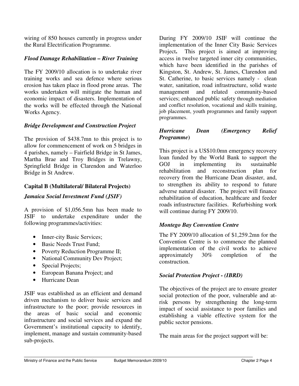wiring of 850 houses currently in progress under the Rural Electrification Programme.

#### *Flood Damage Rehabilitation – River Training*

The FY 2009/10 allocation is to undertake river training works and sea defence where serious erosion has taken place in flood prone areas. The works undertaken will mitigate the human and economic impact of disasters. Implementation of the works will be effected through the National Works Agency.

#### *Bridge Development and Construction Project*

The provision of \$438.7mn to this project is to allow for commencement of work on 5 bridges in 4 parishes, namely – Fairfield Bridge in St James, Martha Brae and Troy Bridges in Trelawny, Springfield Bridge in Clarendon and Waterloo Bridge in St Andrew.

#### **Capital B (Multilateral/ Bilateral Projects)**

#### *Jamaica Social Investment Fund (JSIF)*

A provision of \$1,056.5mn has been made to JSIF to undertake expenditure under the following programmes/activities:

- Inner-city Basic Services;
- Basic Needs Trust Fund;
- Poverty Reduction Programme II;
- National Community Dev Project;
- Special Projects;
- European Banana Project; and
- Hurricane Dean

JSIF was established as an efficient and demand driven mechanism to deliver basic services and infrastructure to the poor; provide resources in the areas of basic social and economic infrastructure and social services and expand the Government's institutional capacity to identify, implement, manage and sustain community-based sub-projects.

During FY 2009/10 JSIF will continue the implementation of the Inner City Basic Services Project**.** This project is aimed at improving access in twelve targeted inner city communities, which have been identified in the parishes of Kingston, St. Andrew, St. James, Clarendon and St. Catherine, to basic services namely - clean water, sanitation, road infrastructure, solid waste management and related community-based services; enhanced public safety through mediation and conflict resolution, vocational and skills training, job placement, youth programmes and family support programmes.

#### *Hurricane Dean (Emergency Relief Programme***)**

This project is a US\$10.0mn emergency recovery loan funded by the World Bank to support the GOJ in implementing its sustainable rehabilitation and reconstruction plan for recovery from the Hurricane Dean disaster, and, to strengthen its ability to respond to future adverse natural disaster. The project will finance rehabilitation of education, healthcare and feeder roads infrastructure facilities. Refurbishing work will continue during FY 2009/10.

#### *Montego Bay Convention Centre*

The FY 2009/10 allocation of \$1,259.2mn for the Convention Centre is to commence the planned implementation of the civil works to achieve approximately 30% completion of the construction.

## *Social Protection Project - (IBRD)*

The objectives of the project are to ensure greater social protection of the poor, vulnerable and atrisk persons by strengthening the long-term impact of social assistance to poor families and establishing a viable effective system for the public sector pensions.

The main areas for the project support will be: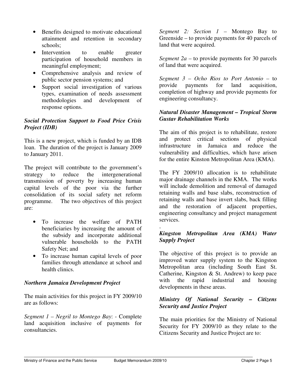- Benefits designed to motivate educational attainment and retention in secondary schools;
- Intervention to enable greater participation of household members in meaningful employment;
- Comprehensive analysis and review of public sector pension systems; and
- Support social investigation of various types, examination of needs assessment methodologies and development of response options.

## *Social Protection Support to Food Price Crisis Project (IDB)*

This is a new project, which is funded by an IDB loan. The duration of the project is January 2009 to January 2011.

The project will contribute to the government's strategy to reduce the intergenerational transmission of poverty by increasing human capital levels of the poor via the further consolidation of its social safety net reform programme. The two objectives of this project are:

- To increase the welfare of PATH beneficiaries by increasing the amount of the subsidy and incorporate additional vulnerable households to the PATH Safety Net; and
- To increase human capital levels of poor families through attendance at school and health clinics.

## *Northern Jamaica Development Project*

The main activities for this project in FY 2009/10 are as follows:

*Segment 1 – Negril to Montego Bay*: - Complete land acquisition inclusive of payments for consultancies.

*Segment 2: Section 1 –* Montego Bay to Greenside – to provide payments for 40 parcels of land that were acquired.

*Segment 2a –* to provide payments for 30 parcels of land that were acquired.

*Segment 3 – Ocho Rios to Port Antonio –* to provide payments for land acquisition, completion of highway and provide payments for engineering consultancy.

#### *Natural Disaster Management – Tropical Storm Gustav Rehabilitation Works*

The aim of this project is to rehabilitate, restore and protect critical sections of physical infrastructure in Jamaica and reduce the vulnerability and difficulties, which have arisen for the entire Kinston Metropolitan Area (KMA).

The FY 2009/10 allocation is to rehabilitate major drainage channels in the KMA. The works will include demolition and removal of damaged retaining walls and base slabs, reconstruction of retaining walls and base invert slabs, back filling and the restoration of adjacent properties, engineering consultancy and project management services.

#### . *Kingston Metropolitan Area (KMA) Water Supply Project*

The objective of this project is to provide an improved water supply system to the Kingston Metropolitan area (including South East St. Catherine, Kingston & St. Andrew) to keep pace with the rapid industrial and housing developments in these areas.

## *Ministry Of National Security – Citizens Security and Justice Project*

The main priorities for the Ministry of National Security for FY 2009/10 as they relate to the Citizens Security and Justice Project are to: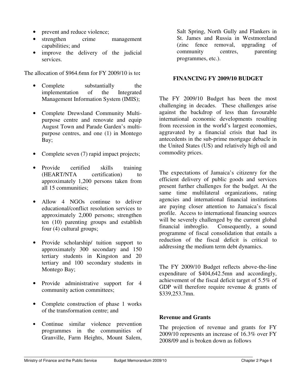- prevent and reduce violence;
- strengthen crime management capabilities; and
- improve the delivery of the judicial services.

The allocation of \$964.6mn for FY 2009/10 is to**:** 

- Complete substantially the implementation of the Integrated Management Information System (IMIS);
- Complete Drewsland Community Multipurpose centre and renovate and equip August Town and Parade Garden's multipurpose centres, and one (1) in Montego Bay;
- Complete seven (7) rapid impact projects;
- Provide certified skills training (HEART/NTA certification) to approximately 1,200 persons taken from all 15 communities;
- Allow 4 NGOs continue to deliver educational/conflict resolution services to approximately 2,000 persons; strengthen ten (10) parenting groups and establish four (4) cultural groups;
- Provide scholarship/ tuition support to approximately 300 secondary and 150 tertiary students in Kingston and 20 tertiary and 100 secondary students in Montego Bay;
- Provide administrative support for 4 community action committees;
- Complete construction of phase 1 works of the transformation centre; and
- Continue similar violence prevention programmes in the communities of Granville, Farm Heights, Mount Salem,

Salt Spring, North Gully and Flankers in St. James and Russia in Westmoreland (zinc fence removal, upgrading of community centres, parenting programmes, etc.).

#### **FINANCING FY 2009/10 BUDGET**

The FY 2009/10 Budget has been the most challenging in decades. These challenges arise against the backdrop of less than favourable international economic developments resulting from recession in the world's largest economies, aggravated by a financial crisis that had its antecedents in the sub-prime mortgage debacle in the United States (US) and relatively high oil and commodity prices.

The expectations of Jamaica's citizenry for the efficient delivery of public goods and services present further challenges for the budget. At the same time multilateral organizations, rating agencies and international financial institutions are paying closer attention to Jamaica's fiscal profile. Access to international financing sources will be severely challenged by the current global<br>financial imbroglio. Consequently, a sound Consequently, a sound programme of fiscal consolidation that entails a reduction of the fiscal deficit is critical to addressing the medium term debt dynamics.

The FY 2009/10 Budget reflects above-the-line expenditure of \$404,642.5mn and accordingly, achievement of the fiscal deficit target of 5.5% of GDP will therefore require revenue & grants of \$339,253.7mn.

#### **Revenue and Grants**

The projection of revenue and grants for FY 2009/10 represents an increase of 16.3% over FY 2008/09 and is broken down as follows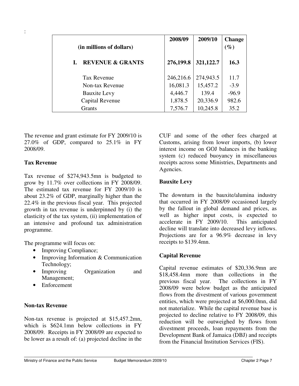| (in millions of dollars)    | 2008/09   | 2009/10   | <b>Change</b><br>$(\%)$ |
|-----------------------------|-----------|-----------|-------------------------|
| <b>REVENUE &amp; GRANTS</b> | 276,199.8 | 321,122.7 | 16.3                    |
| <b>Tax Revenue</b>          | 246,216.6 | 274,943.5 | 11.7                    |
| Non-tax Revenue             | 16,081.3  | 15,457.2  | $-3.9$                  |
| <b>Bauxite Levy</b>         | 4,446.7   | 139.4     | $-96.9$                 |
| Capital Revenue             | 1,878.5   | 20,336.9  | 982.6                   |
| Grants                      | 7,576.7   | 10,245.8  | 35.2                    |

The revenue and grant estimate for FY 2009/10 is 27.0% of GDP, compared to 25.1% in FY 2008/09.

#### **Tax Revenue**

Tax revenue of \$274,943.5mn is budgeted to grow by 11.7% over collections in FY 2008/09. The estimated tax revenue for FY 2009/10 is about 23.2% of GDP, marginally higher than the 22.4% in the previous fiscal year. This projected growth in tax revenue is underpinned by (i) the elasticity of the tax system, (ii) implementation of an intensive and profound tax administration programme.

The programme will focus on:

- Improving Compliance;
- Improving Information & Communication Technology;
- Improving Organization and Management;
- Enforcement

#### **Non-tax Revenue**

Non-tax revenue is projected at \$15,457.2mn, which is \$624.1mn below collections in FY 2008/09. Receipts in FY 2008/09 are expected to be lower as a result of: (a) projected decline in the CUF and some of the other fees charged at Customs, arising from lower imports, (b) lower interest income on GOJ balances in the banking system (c) reduced buoyancy in miscellaneous receipts across some Ministries, Departments and Agencies.

#### **Bauxite Levy**

The downturn in the bauxite/alumina industry that occurred in FY 2008/09 occasioned largely by the fallout in global demand and prices, as well as higher input costs, is expected to accelerate in FY 2009/10. This anticipated decline will translate into decreased levy inflows. Projections are for a 96.9% decrease in levy receipts to \$139.4mn.

#### **Capital Revenue**

Capital revenue estimates of \$20,336.9mn are \$18,458.4mn more than collections in the previous fiscal year. The collections in FY 2008/09 were below budget as the anticipated flows from the divestment of various government entities, which were projected at \$6,000.0mn, did not materialize. While the capital revenue base is projected to decline relative to FY 2008/09, this reduction will be outweighed by flows from divestment proceeds, loan repayments from the Development Bank of Jamaica (DBJ) and receipts from the Financial Institution Services (FIS).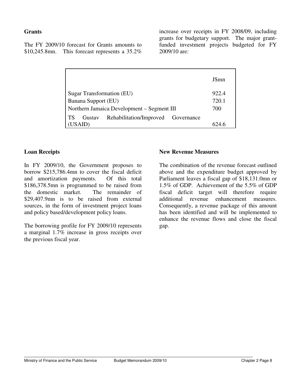#### **Grants**

The FY 2009/10 forecast for Grants amounts to \$10,245.8mn. This forecast represents a 35.2%

increase over receipts in FY 2008/09, including grants for budgetary support. The major grantfunded investment projects budgeted for FY 2009/10 are:

|                                                    | J\$mn |
|----------------------------------------------------|-------|
| Sugar Transformation (EU)                          | 922.4 |
| Banana Support (EU)                                | 720.1 |
| Northern Jamaica Development – Segment III         | 700   |
| Rehabilitation/Improved Governance<br>ТS<br>Gustav |       |
|                                                    |       |

#### **Loan Receipts**

In FY 2009/10, the Government proposes to borrow \$215,786.4mn to cover the fiscal deficit and amortization payments. Of this total \$186,378.5mn is programmed to be raised from the domestic market. The remainder of \$29,407.9mn is to be raised from external sources, in the form of investment project loans and policy based/development policy loans.

The borrowing profile for FY 2009/10 represents a marginal 1.7% increase in gross receipts over the previous fiscal year.

#### **New Revenue Measures**

The combination of the revenue forecast outlined above and the expenditure budget approved by Parliament leaves a fiscal gap of \$18,131.0mn or 1.5% of GDP. Achievement of the 5.5% of GDP fiscal deficit target will therefore require additional revenue enhancement measures. Consequently, a revenue package of this amount has been identified and will be implemented to enhance the revenue flows and close the fiscal gap.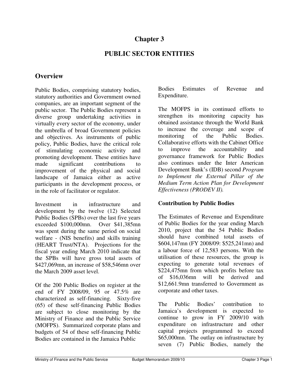# **Chapter 3**

# **PUBLIC SECTOR ENTITIES**

# **Overview**

Public Bodies, comprising statutory bodies, statutory authorities and Government owned companies, are an important segment of the public sector. The Public Bodies represent a diverse group undertaking activities in virtually every sector of the economy, under the umbrella of broad Government policies and objectives. As instruments of public policy, Public Bodies, have the critical role of stimulating economic activity and promoting development. These entities have made significant contributions to improvement of the physical and social landscape of Jamaica either as active participants in the development process, or in the role of facilitator or regulator.

Investment in infrastructure and development by the twelve (12) Selected Public Bodies (SPBs) over the last five years exceeded \$100,000mn. Over \$41,385mn was spent during the same period on social welfare - (NIS benefits) and skills training (HEART Trust/NTA). Projections for the fiscal year ending March 2010 indicate that the SPBs will have gross total assets of \$427,069mn, an increase of \$58,546mn over the March 2009 asset level.

Of the 200 Public Bodies on register at the end of FY 2008/09, 95 or 47.5% are characterized as self-financing. Sixty-five (65) of these self-financing Public Bodies are subject to close monitoring by the Ministry of Finance and the Public Service (MOFPS). Summarized corporate plans and budgets of 54 of these self-financing Public Bodies are contained in the Jamaica Public

Bodies Estimates of Revenue and Expenditure.

The MOFPS in its continued efforts to strengthen its monitoring capacity has obtained assistance through the World Bank to increase the coverage and scope of monitoring of the Public Bodies. Collaborative efforts with the Cabinet Office to improve the accountability and governance framework for Public Bodies also continues under the Inter American Development Bank's (IDB) second *Program to Implement the External Pillar of the Medium Term Action Plan for Development Effectiveness (PRODEV II).* 

#### **Contribution by Public Bodies**

The Estimates of Revenue and Expenditure of Public Bodies for the year ending March 2010, project that the 54 Public Bodies should have combined total assets of \$604,147mn (FY 2008/09: \$525,241mn) and a labour force of 12,583 persons. With the utilisation of these resources, the group is expecting to generate total revenues of \$224,475mn from which profits before tax of \$16,036mn will be derived and \$12,661.9mn transferred to Government as corporate and other taxes.

The Public Bodies' contribution to Jamaica's development is expected to continue to grow in FY 2009/10 with expenditure on infrastructure and other capital projects programmed to exceed \$65,000mn. The outlay on infrastructure by seven (7) Public Bodies, namely the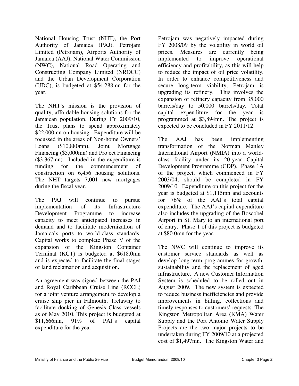National Housing Trust (NHT), the Port Authority of Jamaica (PAJ), Petrojam Limited (Petrojam), Airports Authority of Jamaica (AAJ), National Water Commission (NWC), National Road Operating and Constructing Company Limited (NROCC) and the Urban Development Corporation (UDC), is budgeted at \$54,288mn for the year.

The NHT's mission is the provision of quality, affordable housing solutions for the Jamaican population. During FY 2009/10, the Trust plans to spend approximately \$22,000mn on housing. Expenditure will be focussed in the areas of Non-home Owners' Loans (\$10,880mn), Joint Mortgage Financing (\$5,000mn) and Project Financing (\$3,367mn). Included in the expenditure is funding for the commencement of construction on 6,456 housing solutions. The NHT targets 7,001 new mortgages during the fiscal year.

The PAJ will continue to pursue implementation of its Infrastructure Development Programme to increase capacity to meet anticipated increases in demand and to facilitate modernization of Jamaica's ports to world-class standards. Capital works to complete Phase V of the expansion of the Kingston Container Terminal (KCT) is budgeted at \$618.0mn and is expected to facilitate the final stages of land reclamation and acquisition.

An agreement was signed between the PAJ and Royal Caribbean Cruise Line (RCCL) for a joint venture arrangement to develop a cruise ship pier in Falmouth, Trelawny to facilitate docking of Genesis Class vessels as of May 2010. This project is budgeted at \$11,666mn, 91% of PAJ's capital expenditure for the year.

Petrojam was negatively impacted during FY 2008/09 by the volatility in world oil prices. Measures are currently being implemented to improve operational efficiency and profitability, as this will help to reduce the impact of oil price volatility. In order to enhance competitiveness and secure long-term viability, Petrojam is upgrading its refinery. This involves the expansion of refinery capacity from 35,000 barrels/day to 50,000 barrels/day. Total capital expenditure for the year is programmed at \$3,894mn. The project is expected to be concluded in FY 2011/12.

The AAJ has been implementing transformation of the Norman Manley International Airport (NMIA) into a worldclass facility under its 20-year Capital Development Programme (CDP). Phase 1A of the project, which commenced in FY 2003/04, should be completed in FY 2009/10. Expenditure on this project for the year is budgeted at \$1,115mn and accounts for 76% of the AAJ's total capital expenditure. The AAJ's capital expenditure also includes the upgrading of the Boscobel Airport in St. Mary to an international port of entry. Phase 1 of this project is budgeted at \$80.0mn for the year.

The NWC will continue to improve its customer service standards as well as develop long-term programmes for growth, sustainability and the replacement of aged infrastructure. A new Customer Information System is scheduled to be rolled out in August 2009. The new system is expected to reduce business inefficiencies and provide improvements in billing, collections and timely responses to customers' requests. The Kingston Metropolitan Area (KMA) Water Supply and the Port Antonio Water Supply Projects are the two major projects to be undertaken during FY 2009/10 at a projected cost of \$1,497mn. The Kingston Water and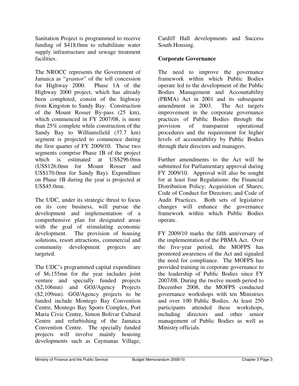Sanitation Project is programmed to receive funding of \$418.0mn to rehabilitate water supply infrastructure and sewage treatment facilities.

The NROCC represents the Government of Jamaica as "*grantor*" of the toll concession for Highway 2000. Phase 1A of the Highway 2000 project, which has already been completed, consist of the highway from Kingston to Sandy Bay. Construction of the Mount Rosser By-pass (25 km), which commenced in FY 2007/08, is more than 25% complete while construction of the Sandy Bay to Williamsfield (37.7 km) segment is projected to commence during the first quarter of FY 2009/10. These two segments comprise Phase 1B of the project which is estimated at US\$296.0mn (US\$126.0mn for Mount Rosser and US\$170.0mn for Sandy Bay). Expenditure on Phase 1B during the year is projected at US\$45.0mn.

The UDC, under its strategic thrust to focus on its core business, will pursue the development and implementation of a comprehensive plan for designated areas with the goal of stimulating economic development. The provision of housing solutions, resort attractions, commercial and community development projects are targeted.

The UDC's programmed capital expenditure of \$6,155mn for the year includes joint venture and specially funded projects (\$2,106mn) and GOJ/Agency Projects (\$2,109mn). GOJ/Agency projects to be funded include Montego Bay Convention Centre, Montego Bay Sports Complex, Port Maria Civic Centre, Simon Bolivar Cultural Centre and refurbishing of the Jamaica Convention Centre. The specially funded projects will involve mainly housing developments such as Caymanas Village,

Cardiff Hall developments and Success South Housing.

### **Corporate Governance**

The need to improve the governance framework within which Public Bodies operate led to the development of the Public Bodies Management and Accountability (PBMA) Act in 2001 and its subsequent amendment in 2003. The Act targets improvement in the corporate governance practices of Public Bodies through the provision of transparent operational procedures and the requirement for higher levels of accountability by Public Bodies through their directors and managers.

Further amendments to the Act will be submitted for Parliamentary approval during FY 2009/10. Approval will also be sought for at least four Regulations: the Financial Distribution Policy; Acquisition of Shares; Code of Conduct for Directors; and Code of Audit Practices. Both sets of legislative changes will enhance the governance framework within which Public Bodies operate.

FY 2009/10 marks the fifth anniversary of the implementation of the PBMA Act. Over the five-year period, the MOFPS has promoted awareness of the Act and signaled the need for compliance. The MOFPS has provided training in corporate governance to the leadership of Public Bodies since FY 2007/08. During the twelve month period to December 2008, the MOFPS conducted governance workshops with ten Ministries and over 100 Public Bodies. At least 250 participants attended these workshops, including directors and other senior management of Public Bodies as well as Ministry officials.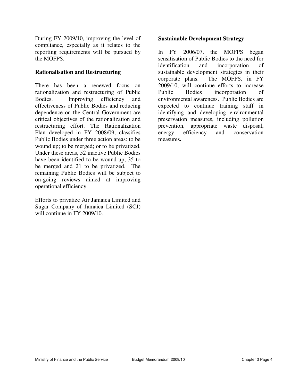During FY 2009/10, improving the level of compliance, especially as it relates to the reporting requirements will be pursued by the MOFPS.

### **Rationalisation and Restructuring**

There has been a renewed focus on rationalization and restructuring of Public Bodies. Improving efficiency and effectiveness of Public Bodies and reducing dependence on the Central Government are critical objectives of the rationalization and restructuring effort. The Rationalization Plan developed in FY 2008/09, classifies Public Bodies under three action areas: to be wound up; to be merged; or to be privatized. Under these areas, 52 inactive Public Bodies have been identified to be wound-up, 35 to be merged and 21 to be privatized. The remaining Public Bodies will be subject to on-going reviews aimed at improving operational efficiency.

Efforts to privatize Air Jamaica Limited and Sugar Company of Jamaica Limited (SCJ) will continue in FY 2009/10.

### **Sustainable Development Strategy**

In FY 2006/07, the MOFPS began sensitisation of Public Bodies to the need for identification and incorporation of sustainable development strategies in their corporate plans. The MOFPS, in FY 2009/10, will continue efforts to increase Public Bodies incorporation of environmental awareness. Public Bodies are expected to continue training staff in identifying and developing environmental preservation measures, including pollution prevention, appropriate waste disposal, energy efficiency and conservation measures**.**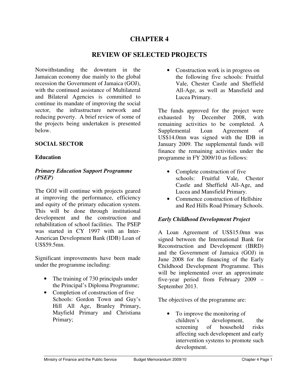## **CHAPTER 4**

## **REVIEW OF SELECTED PROJECTS**

Notwithstanding the downturn in the Jamaican economy due mainly to the global recession the Government of Jamaica (GOJ), with the continued assistance of Multilateral and Bilateral Agencies is committed to continue its mandate of improving the social sector, the infrastructure network and reducing poverty. A brief review of some of the projects being undertaken is presented below.

### **SOCIAL SECTOR**

### **Education**

### *Primary Education Support Programme (PSEP)*

The GOJ will continue with projects geared at improving the performance, efficiency and equity of the primary education system. This will be done through institutional development and the construction and rehabilitation of school facilities. The PSEP was started in CY 1997 with an Inter-American Development Bank (IDB) Loan of US\$59.5mn.

Significant improvements have been made under the programme including:

- The training of 730 principals under the Principal's Diploma Programme;
- Completion of construction of five Schools: Gordon Town and Guy's Hill All Age, Branley Primary, Mayfield Primary and Christiana Primary;

• Construction work is in progress on the following five schools: Fruitful Vale, Chester Castle and Sheffield All-Age, as well as Mansfield and Lucea Primary.

The funds approved for the project were exhausted by December 2008, with remaining activities to be completed. A Supplemental Loan Agreement of US\$14.0mn was signed with the IDB in January 2009. The supplemental funds will finance the remaining activities under the programme in FY 2009/10 as follows:

- Complete construction of five schools: Fruitful Vale, Chester Castle and Sheffield All-Age, and Lucea and Mansfield Primary.
- Commence construction of Hellshire and Red Hills Road Primary Schools.

### *Early Childhood Development Project*

A Loan Agreement of US\$15.0mn was signed between the International Bank for Reconstruction and Development (IBRD) and the Government of Jamaica (GOJ) in June 2008 for the financing of the Early Childhood Development Programme. This will be implemented over an approximate five-year period from February 2009 – September 2013.

The objectives of the programme are:

• To improve the monitoring of children's development, the screening of household risks affecting such development and early intervention systems to promote such development.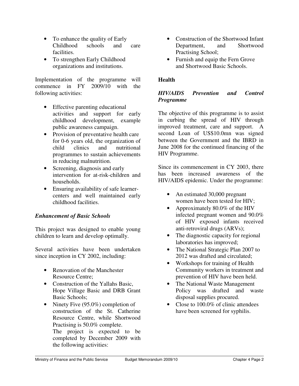- To enhance the quality of Early Childhood schools and care facilities.
- To strengthen Early Childhood organizations and institutions.

Implementation of the programme will commence in FY 2009/10 with the following activities:

- Effective parenting educational activities and support for early childhood development, example public awareness campaign.
- Provision of preventative health care for 0-6 years old, the organization of child clinics and nutritional programmes to sustain achievements in reducing malnutrition.
- Screening, diagnosis and early intervention for at-risk-children and households.
- Ensuring availability of safe learnercenters and well maintained early childhood facilities.

## *Enhancement of Basic Schools*

This project was designed to enable young children to learn and develop optimally.

Several activities have been undertaken since inception in CY 2002, including:

- Renovation of the Manchester Resource Centre;
- Construction of the Yallahs Basic, Hope Village Basic and DRB Grant Basic Schools;
- Ninety Five (95.0%) completion of construction of the St. Catherine Resource Centre, while Shortwood Practising is 50.0% complete. The project is expected to be completed by December 2009 with the following activities:
- Construction of the Shortwood Infant Department, and Shortwood Practising School;
- Furnish and equip the Fern Grove and Shortwood Basic Schools.

### **Health**

## *HIV/AIDS Prevention and Control Programme*

The objective of this programme is to assist in curbing the spread of HIV through improved treatment, care and support. A second Loan of US\$10.0mn was signed between the Government and the IBRD in June 2008 for the continued financing of the HIV Programme.

Since its commencement in CY 2003, there has been increased awareness of the HIV/AIDS epidemic. Under the programme:

- An estimated 30,000 pregnant women have been tested for HIV;
- Approximately 80.0% of the HIV infected pregnant women and 90.0% of HIV exposed infants received anti-retroviral drugs (ARVs);
- The diagnostic capacity for regional laboratories has improved;
- The National Strategic Plan 2007 to 2012 was drafted and circulated;
- Workshops for training of Health Community workers in treatment and prevention of HIV have been held.
- The National Waste Management Policy was drafted and waste disposal supplies procured.
- Close to 100.0% of clinic attendees have been screened for syphilis.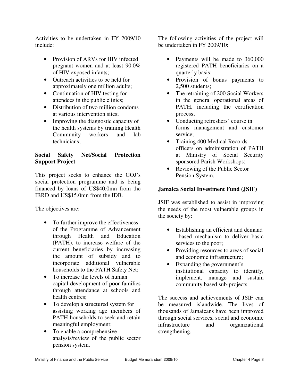Activities to be undertaken in FY 2009/10 include:

- Provision of ARVs for HIV infected pregnant women and at least 90.0% of HIV exposed infants;
- Outreach activities to be held for approximately one million adults;
- Continuation of HIV testing for attendees in the public clinics;
- Distribution of two million condoms at various intervention sites;
- Improving the diagnostic capacity of the health systems by training Health Community workers and lab technicians;

## **Social Safety Net/Social Protection Support Project**

This project seeks to enhance the GOJ's social protection programme and is being financed by loans of US\$40.0mn from the IBRD and US\$15.0mn from the IDB.

The objectives are:

- To further improve the effectiveness of the Programme of Advancement through Health and Education (PATH), to increase welfare of the current beneficiaries by increasing the amount of subsidy and to incorporate additional vulnerable households to the PATH Safety Net;
- To increase the levels of human capital development of poor families through attendance at schools and health centres;
- To develop a structured system for assisting working age members of PATH households to seek and retain meaningful employment;
- To enable a comprehensive analysis/review of the public sector pension system.

The following activities of the project will be undertaken in FY 2009/10:

- Payments will be made to 360,000 registered PATH beneficiaries on a quarterly basis;
- Provision of bonus payments to 2,500 students;
- The retraining of 200 Social Workers in the general operational areas of PATH, including the certification process;
- Conducting refreshers' course in forms management and customer service;
- Training 400 Medical Records officers on administration of PATH at Ministry of Social Security sponsored Parish Workshops;
- Reviewing of the Public Sector Pension System.

## **Jamaica Social Investment Fund (JSIF)**

JSIF was established to assist in improving the needs of the most vulnerable groups in the society by:

- Establishing an efficient and demand –based mechanism to deliver basic services to the poor;
- Providing resources to areas of social and economic infrastructure;
- Expanding the government's institutional capacity to identify, implement, manage and sustain community based sub-projects.

The success and achievements of JSIF can be measured islandwide. The lives of thousands of Jamaicans have been improved through social services, social and economic infrastructure and organizational strengthening.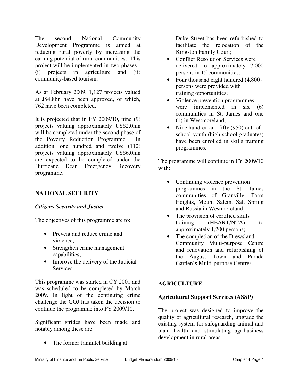The second National Community Development Programme is aimed at reducing rural poverty by increasing the earning potential of rural communities. This project will be implemented in two phases - (i) projects in agriculture and (ii) community-based tourism.

As at February 2009, 1,127 projects valued at J\$4.8bn have been approved, of which, 762 have been completed.

It is projected that in FY 2009/10, nine (9) projects valuing approximately US\$2.0mn will be completed under the second phase of the Poverty Reduction Programme. In addition, one hundred and twelve (112) projects valuing approximately US\$6.0mn are expected to be completed under the Hurricane Dean Emergency Recovery programme.

## **NATIONAL SECURITY**

## *Citizens Security and Justice*

The objectives of this programme are to:

- Prevent and reduce crime and violence;
- Strengthen crime management capabilities;
- Improve the delivery of the Judicial **Services**

This programme was started in CY 2001 and was scheduled to be completed by March 2009. In light of the continuing crime challenge the GOJ has taken the decision to continue the programme into FY 2009/10.

Significant strides have been made and notably among these are:

The former Jamintel building at

Duke Street has been refurbished to facilitate the relocation of the Kingston Family Court;

- Conflict Resolution Services were delivered to approximately 7,000 persons in 15 communities;
- Four thousand eight hundred  $(4,800)$ persons were provided with training opportunities;
- Violence prevention programmes were implemented in six (6) communities in St. James and one (1) in Westmoreland;
- Nine hundred and fifty (950) out- ofschool youth (high school graduates) have been enrolled in skills training programmes.

The programme will continue in FY 2009/10 with:

- Continuing violence prevention programmes in the St. James communities of Granville, Farm Heights, Mount Salem, Salt Spring and Russia in Westmoreland;
- The provision of certified skills training (HEART/NTA) to approximately 1,200 persons;
- The completion of the Drewsland Community Multi-purpose Centre and renovation and refurbishing of the August Town and Parade Garden's Multi-purpose Centres.

## **AGRICULTURE**

## **Agricultural Support Services (ASSP)**

The project was designed to improve the quality of agricultural research, upgrade the existing system for safeguarding animal and plant health and stimulating agribusiness development in rural areas.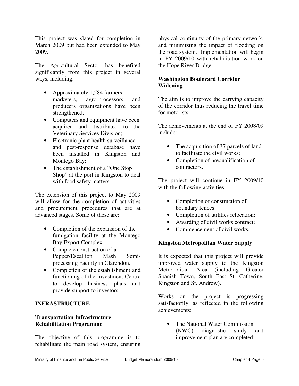This project was slated for completion in March 2009 but had been extended to May 2009.

The Agricultural Sector has benefited significantly from this project in several ways, including:

- Approximately 1,584 farmers, marketers, agro-processors and producers organizations have been strengthened;
- Computers and equipment have been acquired and distributed to the Veterinary Services Division;
- Electronic plant health surveillance and pest-response database have been installed in Kingston and Montego Bay;
- The establishment of a "One Stop" Shop" at the port in Kingston to deal with food safety matters.

The extension of this project to May 2009 will allow for the completion of activities and procurement procedures that are at advanced stages. Some of these are:

- Completion of the expansion of the fumigation facility at the Montego Bay Export Complex.
- Complete construction of a Pepper/Escallion Mash Semiprocessing Facility in Clarendon.
- Completion of the establishment and functioning of the Investment Centre to develop business plans and provide support to investors.

### **INFRASTRUCTURE**

### **Transportation Infrastructure Rehabilitation Programme**

The objective of this programme is to rehabilitate the main road system, ensuring physical continuity of the primary network, and minimizing the impact of flooding on the road system. Implementation will begin in FY 2009/10 with rehabilitation work on the Hope River Bridge.

### **Washington Boulevard Corridor Widening**

The aim is to improve the carrying capacity of the corridor thus reducing the travel time for motorists.

The achievements at the end of FY 2008/09 include:

- The acquisition of 37 parcels of land to facilitate the civil works;
- Completion of prequalification of contractors.

The project will continue in FY 2009/10 with the following activities:

- Completion of construction of boundary fences;
- Completion of utilities relocation;
- Awarding of civil works contract;
- Commencement of civil works.

#### **Kingston Metropolitan Water Supply**

It is expected that this project will provide improved water supply to the Kingston Metropolitan Area (including Greater Spanish Town, South East St. Catherine, Kingston and St. Andrew).

Works on the project is progressing satisfactorily, as reflected in the following achievements:

The National Water Commission (NWC) diagnostic study and improvement plan are completed;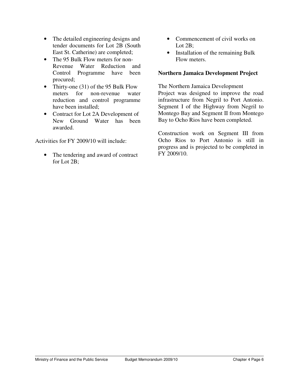- The detailed engineering designs and tender documents for Lot 2B (South East St. Catherine) are completed;
- The 95 Bulk Flow meters for non-Revenue Water Reduction and Control Programme have been procured;
- Thirty-one (31) of the 95 Bulk Flow meters for non-revenue water reduction and control programme have been installed;
- Contract for Lot 2A Development of New Ground Water has been awarded.

Activities for FY 2009/10 will include:

• The tendering and award of contract for Lot 2B;

- Commencement of civil works on Lot 2B:
- Installation of the remaining Bulk Flow meters.

### **Northern Jamaica Development Project**

The Northern Jamaica Development Project was designed to improve the road infrastructure from Negril to Port Antonio. Segment I of the Highway from Negril to Montego Bay and Segment II from Montego Bay to Ocho Rios have been completed.

Construction work on Segment III from Ocho Rios to Port Antonio is still in progress and is projected to be completed in FY 2009/10.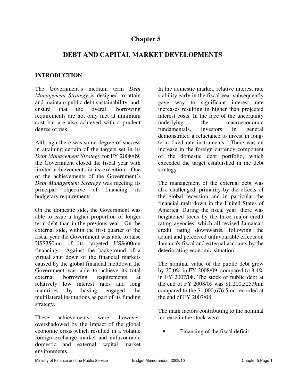## **Chapter 5**

## **DEBT AND CAPITAL MARKET DEVELOPMENTS**

### **INTRODUCTION**

The Government's medium term *Debt Management Strategy* is designed to attain and maintain public debt sustainability, and, ensure that the overall borrowing requirements are not only met at minimum cost but are also achieved with a prudent degree of risk.

Although there was some degree of success in attaining certain of the targets set in its *Debt Management Strategy* for FY 2008/09, the Government closed the fiscal year with limited achievements in its execution. One of the achievements of the Government's *Debt Management Strategy* was meeting its principal objective of financing its budgetary requirements.

On the domestic side, the Government was able to issue a higher proportion of longer term debt than in the previous year. On the external side, within the first quarter of the fiscal year the Government was able to raise US\$350mn of its targeted US\$600mn financing. Against the background of a virtual shut down of the financial markets caused by the global financial meltdown the Government was able to achieve its total external borrowing requirements at relatively low interest rates and long maturities by having engaged the multilateral institutions as part of its funding strategy.

These achievements were, however, overshadowed by the impact of the global economic crisis which resulted in a volatile foreign exchange market and unfavourable domestic and external capital market environments.

In the domestic market, relative interest rate stability early in the fiscal year subsequently gave way to significant interest rate increases resulting in higher than projected interest costs. In the face of the uncertainty underlying the macroeconomic fundamentals, investors in general demonstrated a reluctance to invest in longterm fixed rate instruments.There was an increase in the foreign currency component of the domestic debt portfolio, which exceeded the target established in the debt strategy.

The management of the external debt was also challenged, primarily by the effects of the global recession and in particular the financial melt down in the United States of America. During the fiscal year, there was heightened focus by the three major credit rating agencies, which all revised Jamaica's credit rating downwards, following the actual and perceived unfavourable effects on Jamaica's fiscal and external accounts by the deteriorating economic situation.

The nominal value of the public debt grew by 20.0% in FY 2008/09, compared to 8.4% in FY 2007/08. The stock of public debt at the end of FY 2008/09 was \$1,200,325.9mn compared to the \$1,000,676.5mn recorded at the end of FY 2007/08.

The main factors contributing to the nominal increase in the stock were:

Financing of the fiscal deficit;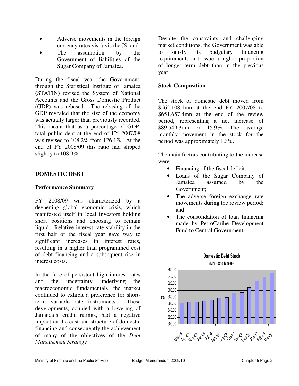- Adverse movements in the foreign currency rates vis-à-vis the J\$; and
- The assumption by the Government of liabilities of the Sugar Company of Jamaica.

During the fiscal year the Government, through the Statistical Institute of Jamaica (STATIN) revised the System of National Accounts and the Gross Domestic Product (GDP) was rebased. The rebasing of the GDP revealed that the size of the economy was actually larger than previously recorded. This meant that as a percentage of GDP, total public debt at the end of FY 2007/08 was revised to 108.2% from 126.1%. At the end of FY 2008/09 this ratio had slipped slightly to 108.9%.

### **DOMESTIC DEBT**

### **Performance Summary**

FY 2008/09 was characterized by a deepening global economic crisis, which manifested itself in local investors holding short positions and choosing to remain liquid. Relative interest rate stability in the first half of the fiscal year gave way to significant increases in interest rates, resulting in a higher than programmed cost of debt financing and a subsequent rise in interest costs.

In the face of persistent high interest rates and the uncertainty underlying the macroeconomic fundamentals, the market continued to exhibit a preference for shortterm variable rate instruments. These developments, coupled with a lowering of Jamaica's credit ratings, had a negative impact on the cost and structure of domestic financing and consequently the achievement of many of the objectives of the *Debt Management Strategy.* 

Despite the constraints and challenging market conditions, the Government was able to satisfy its budgetary financing requirements and issue a higher proportion of longer term debt than in the previous year.

### **Stock Composition**

The stock of domestic debt moved from \$562,108.1mn at the end FY 2007/08 to \$651,657.4mn at the end of the review period, representing a net increase of \$89,549.3mn or 15.9%. The average monthly movement in the stock for the period was approximately 1.3%.

The main factors contributing to the increase were:

- Financing of the fiscal deficit;
- Loans of the Sugar Company of Jamaica assumed by the Government;
- The adverse foreign exchange rate movements during the review period; and
- The consolidation of loan financing made by PetroCaribe Development Fund to Central Government.



**Domestic Debt Stock**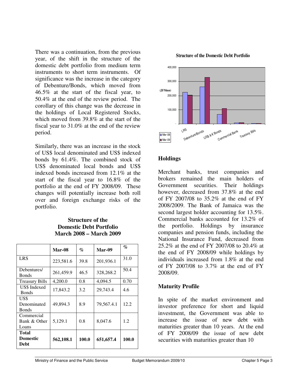There was a continuation, from the previous year, of the shift in the structure of the domestic debt portfolio from medium term instruments to short term instruments. Of significance was the increase in the category of Debenture/Bonds, which moved from 46.5% at the start of the fiscal year, to 50.4% at the end of the review period. The corollary of this change was the decrease in the holdings of Local Registered Stocks, which moved from 39.8% at the start of the fiscal year to 31.0% at the end of the review period.

Similarly, there was an increase in the stock of US\$ local denominated and US\$ indexed bonds by 61.4%. The combined stock of US\$ denominated local bonds and US\$ indexed bonds increased from 12.1% at the start of the fiscal year to 16.8% of the portfolio at the end of FY 2008/09. These changes will potentially increase both roll over and foreign exchange risks of the portfolio.

#### **Structure of the Domestic Debt Portfolio March 2008 – March 2009**

|                                     | <b>Mar-08</b> | $\%$  | Mar-09     | $\%$  |
|-------------------------------------|---------------|-------|------------|-------|
| <b>LRS</b>                          | 223,581.6     | 39.8  | 201,936.1  | 31.0  |
| Debentures/<br><b>Bonds</b>         | 261,459.9     | 46.5  | 328,268.2  | 50.4  |
| <b>Treasury Bills</b>               | 4,200.0       | 0.8   | 4.094.5    | 0.70  |
| US\$ Indexed<br><b>Bonds</b>        | 17,843.2      | 3.2   | 29,743.4   | 4.6   |
| US\$<br>Denominated<br><b>Bonds</b> | 49,894.3      | 8.9   | 79,567.4.1 | 12.2  |
| Commercial<br>Bank & Other<br>Loans | 5,129.1       | 0.8   | 8,047.6    | 1.2   |
| Total<br><b>Domestic</b><br>Debt    | 562,108.1     | 100.0 | 651,657.4  | 100.0 |





### **Holdings**

Merchant banks, trust companies and brokers remained the main holders of Government securities. Their holdings however, decreased from 37.8% at the end of FY 2007/08 to 35.2% at the end of FY 2008/2009. The Bank of Jamaica was the second largest holder accounting for 13.5%. Commercial banks accounted for 13.2% of the portfolio. Holdings by insurance companies and pension funds, including the National Insurance Fund, decreased from 25.2% at the end of FY 2007/08 to 20.4% at the end of FY 2008/09 while holdings by individuals increased from 1.8% at the end of FY 2007/08 to 3.7% at the end of FY 2008/09.

#### **Maturity Profile**

In spite of the market environment and investor preference for short and liquid investment, the Government was able to increase the issue of new debt with maturities greater than 10 years. At the end of FY 2008/09 the issue of new debt securities with maturities greater than 10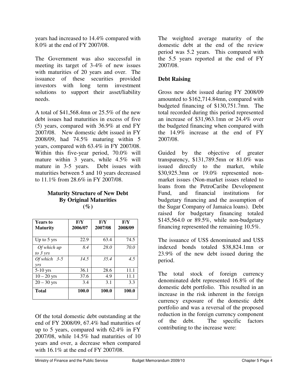years had increased to 14.4% compared with 8.0% at the end of FY 2007/08.

The Government was also successful in meeting its target of 3-4% of new issues with maturities of 20 years and over. The issuance of these securities provided investors with long term investment solutions to support their asset/liability needs.

A total of \$41,568.4mn or 25.5% of the new debt issues had maturities in excess of five (5) years, compared with 36.9% at end FY 2007/08. New domestic debt issued in FY 2008/09, had 74.5% maturing within 5 years, compared with 63.4% in FY 2007/08. Within this five-year period, 70.0% will mature within 3 years, while 4.5% will mature in 3-5 years. Debt issues with maturities between 5 and 10 years decreased to 11.1% from 28.6% in FY 2007/08.

### **Maturity Structure of New Debt By Original Maturities (%)**

| <b>Years to</b><br><b>Maturity</b> | F/Y<br>2006/07 | F/Y<br>2007/08 | F/Y<br>2008/09 |
|------------------------------------|----------------|----------------|----------------|
| Up to 5 yrs                        | 22.9           | 63.4           | 74.5           |
| Of which up<br>to $3 \gamma r s$   | 8.4            | 28.0           | 70.0           |
| Of which $3-5$<br><i>vrs</i>       | 14.5           | 35.4           | 4.5            |
| $5-10$ yrs                         | 36.1           | 28.6           | 11.1           |
| $10 - 20$ yrs                      | 37.6           | 4.9            | 11.1           |
| $20 - 30$ yrs                      | 3.4            | 3.1            | 3.3            |
| <b>Total</b>                       | 100.0          | 100.0          | 100.0          |

Of the total domestic debt outstanding at the end of FY 2008/09, 67.4% had maturities of up to 5 years, compared with 62.4% in FY 2007/08, while 14.5% had maturities of 10 years and over, a decrease when compared with 16.1% at the end of FY 2007/08.

The weighted average maturity of the domestic debt at the end of the review period was 5.2 years. This compared with the 5.5 years reported at the end of FY 2007/08.

## **Debt Raising**

Gross new debt issued during FY 2008/09 amounted to \$162,714.84mn, compared with budgeted financing of \$130,751.7mn. The total recorded during this period represented an increase of \$31,963.1mn or 24.4% over the budgeted financing when compared with the 14.9% increase at the end of FY 2007/08.

Guided by the objective of greater transparency, \$131,789.5mn or 81.0% was issued directly to the market, while \$30,925.3mn or 19.0% represented nonmarket issues (Non-market issues related to loans from the PetroCaribe Development Fund, and financial institutions for budgetary financing and the assumption of the Sugar Company of Jamaica loans). Debt raised for budgetary financing totaled \$145,564.0 or 89.5%, while non-budgetary financing represented the remaining 10.5%.

The issuance of US\$ denominated and US\$ indexed bonds totaled \$38,824.1mn or 23.9% of the new debt issued during the period.

The total stock of foreign currency denominated debt represented 16.8% of the domestic debt portfolio. This resulted in an increase in the risk inherent in the foreign currency exposure of the domestic debt portfolio and was a reversal of the proposed reduction in the foreign currency component of the debt. The specific factors contributing to the increase were: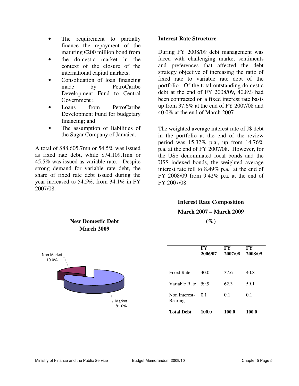- The requirement to partially finance the repayment of the maturing  $\epsilon$ 200 million bond from
- the domestic market in the context of the closure of the international capital markets;
- Consolidation of loan financing made by PetroCaribe Development Fund to Central Government ;
- Loans from PetroCaribe Development Fund for budgetary financing; and
- The assumption of liabilities of the Sugar Company of Jamaica.

A total of \$88,605.7mn or 54.5% was issued as fixed rate debt, while \$74,109.1mn or 45.5% was issued as variable rate. Despite strong demand for variable rate debt, the share of fixed rate debt issued during the year increased to 54.5%, from 34.1% in FY 2007/08.

### **Interest Rate Structure**

During FY 2008/09 debt management was faced with challenging market sentiments and preferences that affected the debt strategy objective of increasing the ratio of fixed rate to variable rate debt of the portfolio. Of the total outstanding domestic debt at the end of FY 2008/09, 40.8% had been contracted on a fixed interest rate basis up from 37.6% at the end of FY 2007/08 and 40.0% at the end of March 2007.

The weighted average interest rate of J\$ debt in the portfolio at the end of the review period was 15.32% p.a., up from 14.76% p.a. at the end of FY 2007/08. However, for the US\$ denominated local bonds and the US\$ indexed bonds, the weighted average interest rate fell to 8.49% p.a. at the end of FY 2008/09 from 9.42% p.a. at the end of FY 2007/08.

# **Interest Rate Composition March 2007 – March 2009**

 $($ %)<sup> $)$ </sup>



### **New Domestic Debt March 2009**

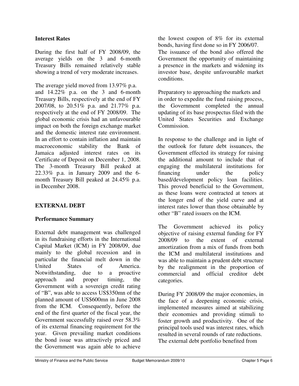### **Interest Rates**

During the first half of FY 2008/09, the average yields on the 3 and 6-month Treasury Bills remained relatively stable showing a trend of very moderate increases.

The average yield moved from 13.97% p.a. and 14.22% p.a. on the 3 and 6-month Treasury Bills, respectively at the end of FY 2007/08, to 20.51% p.a. and 21.77% p.a. respectively at the end of FY 2008/09. The global economic crisis had an unfavourable impact on both the foreign exchange market and the domestic interest rate environment. In an effort to contain inflation and maintain macroeconomic stability the Bank of Jamaica adjusted interest rates on its Certificate of Deposit on December 1, 2008. The 3-month Treasury Bill peaked at 22.33% p.a. in January 2009 and the 6 month Treasury Bill peaked at 24.45% p.a. in December 2008.

### **EXTERNAL DEBT**

### **Performance Summary**

External debt management was challenged in its fundraising efforts in the International Capital Market (ICM) in FY 2008/09, due mainly to the global recession and in particular the financial melt down in the United States of America. Notwithstanding, due to a proactive approach and proper timing, the Government with a sovereign credit rating of "B", was able to access US\$350mn of the planned amount of US\$600mn in June 2008 from the ICM. Consequently, before the end of the first quarter of the fiscal year, the Government successfully raised over 58.3% of its external financing requirement for the year. Given prevailing market conditions the bond issue was attractively priced and the Government was again able to achieve

the lowest coupon of 8% for its external bonds, having first done so in FY 2006/07. The issuance of the bond also offered the Government the opportunity of maintaining a presence in the markets and widening its investor base, despite unfavourable market conditions.

Preparatory to approaching the markets and in order to expedite the fund raising process, the Government completed the annual updating of its base prospectus filed with the United States Securities and Exchange Commission.

In response to the challenge and in light of the outlook for future debt issuances, the Government effected its strategy for raising the additional amount to include that of engaging the multilateral institutions for financing under the policy based/development policy loan facilities. This proved beneficial to the Government, as these loans were contracted at tenors at the longer end of the yield curve and at interest rates lower than those obtainable by other "B" rated issuers on the ICM.

The Government achieved its policy objective of raising external funding for FY 2008/09 to the extent of external amortization from a mix of funds from both the ICM and multilateral institutions and was able to maintain a prudent debt structure by the realignment in the proportion of commercial and official creditor debt categories.

During FY 2008/09 the major economies, in the face of a deepening economic crisis, implemented measures aimed at stabilizing their economies and providing stimuli to foster growth and productivity. One of the principal tools used was interest rates, which resulted in several rounds of rate reductions. The external debt portfolio benefited from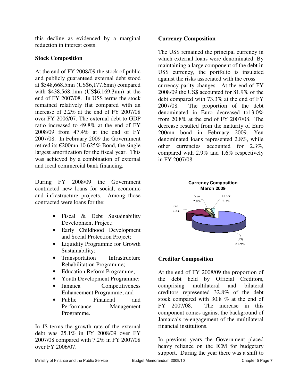this decline as evidenced by a marginal reduction in interest costs.

## **Stock Composition**

At the end of FY 2008/09 the stock of public and publicly guaranteed external debt stood at \$548,668.5mn (US\$6,177.6mn) compared with \$438,568.1mn (US\$6,169.3mn) at the end of FY 2007/08. In US\$ terms the stock remained relatively flat compared with an increase of 2.2% at the end of FY 2007/08 over FY 2006/07. The external debt to GDP ratio increased to 49.8% at the end of FY 2008/09 from 47.4% at the end of FY 2007/08. In February 2009 the Government retired its €200mn 10.625% Bond, the single largest amortization for the fiscal year. This was achieved by a combination of external and local commercial bank financing.

During FY 2008/09 the Government contracted new loans for social, economic and infrastructure projects. Among those contracted were loans for the:

- Fiscal & Debt Sustainability Development Project;
- Early Childhood Development and Social Protection Project;
- Liquidity Programme for Growth Sustainability;
- Transportation Infrastructure Rehabilitation Programme;
- Education Reform Programme;
- Youth Development Programme;
- Jamaica Competitiveness Enhancement Programme; and
- Public Financial and Performance Management Programme.

In J\$ terms the growth rate of the external debt was 25.1% in FY 2008/09 over FY 2007/08 compared with 7.2% in FY 2007/08 over FY 2006/07.

### **Currency Composition**

The US\$ remained the principal currency in which external loans were denominated. By maintaining a large component of the debt in US\$ currency, the portfolio is insulated against the risks associated with the cross currency parity changes. At the end of FY 2008/09 the US\$ accounted for 81.9% of the debt compared with 73.3% at the end of FY 2007/08. The proportion of the debt denominated in Euro decreased to13.0% from 20.8% at the end of FY 2007/08. The decrease resulted from the maturity of Euro 200mn bond in February 2009. Yen denominated loans represented 2.8%, while other currencies accounted for 2.3%, compared with 2.9% and 1.6% respectively in FY 2007/08.



## **Creditor Composition**

At the end of FY 2008/09 the proportion of the debt held by Official Creditors, comprising multilateral and bilateral creditors represented 32.8% of the debt stock compared with 30.8 % at the end of FY 2007/08. The increase in this component comes against the background of Jamaica's re-engagement of the multilateral financial institutions.

In previous years the Government placed heavy reliance on the ICM for budgetary support. During the year there was a shift to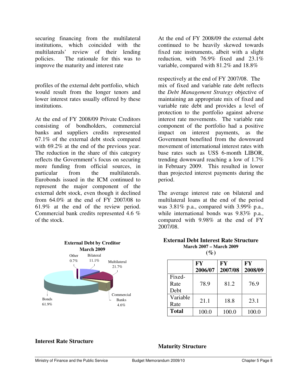securing financing from the multilateral institutions, which coincided with the multilaterals' review of their lending policies. The rationale for this was to improve the maturity and interest rate

profiles of the external debt portfolio, which would result from the longer tenors and lower interest rates usually offered by these institutions.

At the end of FY 2008/09 Private Creditors consisting of bondholders, commercial banks and suppliers credits represented 67.1% of the external debt stock compared with 69.2% at the end of the previous year. The reduction in the share of this category reflects the Government's focus on securing more funding from official sources, in particular from the multilaterals. Eurobonds issued in the ICM continued to represent the major component of the external debt stock, even though it declined from 64.0% at the end of FY 2007/08 to 61.9% at the end of the review period. Commercial bank credits represented 4.6 % of the stock.



At the end of FY 2008/09 the external debt continued to be heavily skewed towards fixed rate instruments, albeit with a slight reduction, with 76.9% fixed and 23.1% variable, compared with 81.2% and 18.8%

respectively at the end of FY 2007/08. The mix of fixed and variable rate debt reflects the *Debt Management Strategy* objective of maintaining an appropriate mix of fixed and variable rate debt and provides a level of protection to the portfolio against adverse interest rate movements. The variable rate component of the portfolio had a positive impact on interest payments, as the Government benefited from the downward movement of international interest rates with base rates such as US\$ 6-month LIBOR, trending downward reaching a low of 1.7% in February 2009. This resulted in lower than projected interest payments during the period.

The average interest rate on bilateral and multilateral loans at the end of the period was 3.81% p.a., compared with 3.99% p.a., while international bonds was 9.83% p.a., compared with 9.98% at the end of FY 2007/08.

#### **External Debt Interest Rate Structure March 2007 – March 2009**

|--|--|

|                        | FY<br>2006/07 | <b>FY</b><br>2007/08 | <b>FY</b><br>2008/09 |
|------------------------|---------------|----------------------|----------------------|
| Fixed-<br>Rate<br>Debt | 78.9          | 81.2                 | 76.9                 |
| Variable<br>Rate       | 21.1          | 18.8                 | 23.1                 |
| <b>Total</b>           | 100.0         | 100.0                | 100.0                |

#### **Interest Rate Structure**

**Maturity Structure**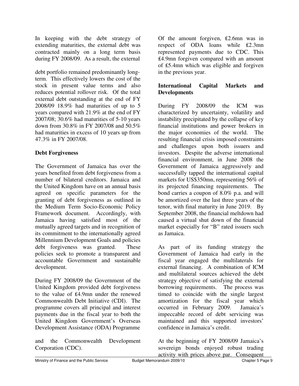In keeping with the debt strategy of extending maturities, the external debt was contracted mainly on a long term basis during FY 2008/09. As a result, the external

debt portfolio remained predominantly longterm. This effectively lowers the cost of the stock in present value terms and also reduces potential rollover risk. Of the total external debt outstanding at the end of FY 2008/09 18.9% had maturities of up to 5 years compared with 21.9% at the end of FY 2007/08; 30.6% had maturities of 5-10 years down from 30.8% in FY 2007/08 and 50.5% had maturities in excess of 10 years up from 47.3% in FY 2007/08.

## **Debt Forgiveness**

The Government of Jamaica has over the years benefited from debt forgiveness from a number of bilateral creditors. Jamaica and the United Kingdom have on an annual basis agreed on specific parameters for the granting of debt forgiveness as outlined in the Medium Term Socio-Economic Policy Framework document. Accordingly, with Jamaica having satisfied most of the mutually agreed targets and in recognition of its commitment to the internationally agreed Millennium Development Goals and policies debt forgiveness was granted. These policies seek to promote a transparent and accountable Government and sustainable development.

During FY 2008/09 the Government of the United Kingdom provided debt forgiveness to the value of ₤4.9mn under the renewed Commonwealth Debt Initiative (CDI). The programme covers all principal and interest payments due in the fiscal year to both the United Kingdom Government's Overseas Development Assistance (ODA) Programme

and the Commonwealth Development Corporation (CDC).

Of the amount forgiven, ₤2.6mn was in respect of ODA loans while ₤2.3mn represented payments due to CDC. This ₤4.9mn forgiven compared with an amount of ₤5.4mn which was eligible and forgiven in the previous year.

## **International Capital Markets and Developments**

During FY 2008/09 the ICM was characterized by uncertainty, volatility and instability precipitated by the collapse of key financial institutions and power brokers in the major economies of the world. The resulting financial crisis imposed constraints and challenges upon both issuers and investors. Despite the adverse international financial environment, in June 2008 the Government of Jamaica aggressively and successfully tapped the international capital markets for US\$350mn, representing 56% of its projected financing requirements. The bond carries a coupon of 8.0% p.a. and will be amortized over the last three years of the tenor, with final maturity in June 2019. By September 2008, the financial meltdown had caused a virtual shut down of the financial market especially for "B" rated issuers such as Jamaica.

As part of its funding strategy the Government of Jamaica had early in the fiscal year engaged the multilaterals for external financing. A combination of ICM and multilateral sources achieved the debt strategy objective of satisfying the external borrowing requirements. The process was timed to coincide with the single largest amortization for the fiscal year which occurred in February 2009. Jamaica's impeccable record of debt servicing was maintained and this supported investors' confidence in Jamaica's credit.

At the beginning of FY 2008/09 Jamaica's sovereign bonds enjoyed robust trading activity with prices above par. Consequent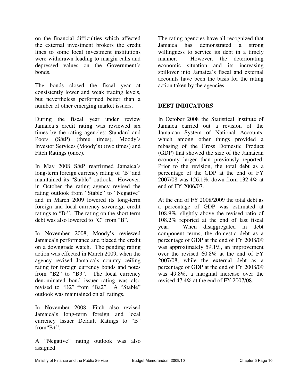on the financial difficulties which affected the external investment brokers the credit lines to some local investment institutions were withdrawn leading to margin calls and depressed values on the Government's bonds.

The bonds closed the fiscal year at consistently lower and weak trading levels, but nevertheless performed better than a number of other emerging market issuers.

During the fiscal year under review Jamaica's credit rating was reviewed six times by the rating agencies: Standard and Poors (S&P) (three times), Moody's Investor Services (Moody's) (two times) and Fitch Ratings (once).

In May 2008 S&P reaffirmed Jamaica's long-term foreign currency rating of "B" and maintained its "Stable" outlook. However, in October the rating agency revised the rating outlook from "Stable" to "Negative" and in March 2009 lowered its long-term foreign and local currency sovereign credit ratings to "B-". The rating on the short term debt was also lowered to "C" from "B".

In November 2008, Moody's reviewed Jamaica's performance and placed the credit on a downgrade watch. The pending rating action was effected in March 2009, when the agency revised Jamaica's country ceiling rating for foreign currency bonds and notes from "B2" to "B3". The local currency denominated bond issuer rating was also revised to "B2" from "Ba2". A "Stable" outlook was maintained on all ratings.

In November 2008, Fitch also revised Jamaica's long-term foreign and local currency Issuer Default Ratings to "B" from"B+".

A "Negative" rating outlook was also assigned.

The rating agencies have all recognized that Jamaica has demonstrated a strong willingness to service its debt in a timely manner. However, the deteriorating economic situation and its increasing spillover into Jamaica's fiscal and external accounts have been the basis for the rating action taken by the agencies.

## **DEBT INDICATORS**

In October 2008 the Statistical Institute of Jamaica carried out a revision of the Jamaican System of National Accounts, which among other things provided a rebasing of the Gross Domestic Product (GDP) that showed the size of the Jamaican economy larger than previously reported. Prior to the revision, the total debt as a percentage of the GDP at the end of FY 2007/08 was 126.1%, down from 132.4% at end of FY 2006/07.

At the end of FY 2008/2009 the total debt as a percentage of GDP was estimated at 108.9%, slightly above the revised ratio of 108.2% reported at the end of last fiscal year. When disaggregated in debt component terms, the domestic debt as a percentage of GDP at the end of FY 2008/09 was approximately 59.1%, an improvement over the revised 60.8% at the end of FY 2007/08, while the external debt as a percentage of GDP at the end of FY 2008/09 was 49.8%, a marginal increase over the revised 47.4% at the end of FY 2007/08.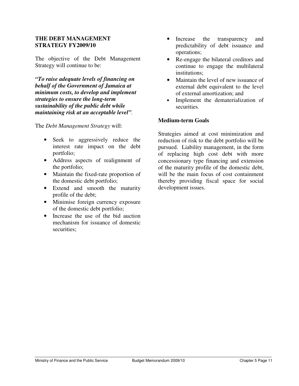#### **THE DEBT MANAGEMENT STRATEGY FY2009/10**

The objective of the Debt Management Strategy will continue to be:

*"To raise adequate levels of financing on behalf of the Government of Jamaica at minimum costs, to develop and implement strategies to ensure the long-term sustainability of the public debt while maintaining risk at an acceptable level".* 

The *Debt Management Strategy* will:

- Seek to aggressively reduce the interest rate impact on the debt portfolio;
- Address aspects of realignment of the portfolio;
- Maintain the fixed-rate proportion of the domestic debt portfolio;
- Extend and smooth the maturity profile of the debt;
- Minimise foreign currency exposure of the domestic debt portfolio;
- Increase the use of the bid auction mechanism for issuance of domestic securities:
- Increase the transparency and predictability of debt issuance and operations;
- Re-engage the bilateral creditors and continue to engage the multilateral institutions;
- Maintain the level of new issuance of external debt equivalent to the level of external amortization; and
- Implement the dematerialization of securities.

#### **Medium-term Goals**

Strategies aimed at cost minimization and reduction of risk to the debt portfolio will be pursued. Liability management, in the form of replacing high cost debt with more concessionary type financing and extension of the maturity profile of the domestic debt, will be the main focus of cost containment thereby providing fiscal space for social development issues.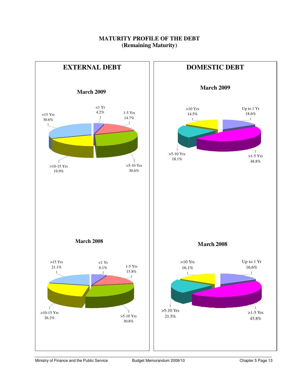## **MATURITY PROFILE OF THE DEBT (Remaining Maturity)**

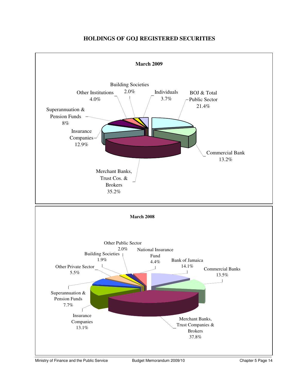

#### **HOLDINGS OF GOJ REGISTERED SECURITIES**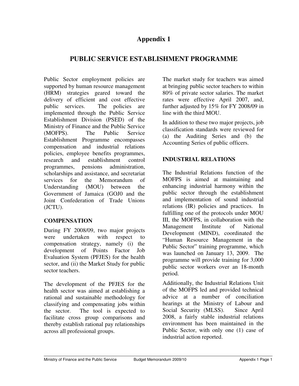## **Appendix 1**

## **PUBLIC SERVICE ESTABLISHMENT PROGRAMME**

Public Sector employment policies are supported by human resource management (HRM) strategies geared toward the delivery of efficient and cost effective public services. The policies are implemented through the Public Service Establishment Division (PSED) of the Ministry of Finance and the Public Service (MOFPS). The Public Service Establishment Programme encompasses compensation and industrial relations policies, employee benefits programmes, research and establishment control programmes, pensions administration, scholarships and assistance, and secretariat services for the Memorandum of Understanding (MOU) between the Government of Jamaica (GOJ0 and the Joint Confederation of Trade Unions (JCTU).

### **COMPENSATION**

During FY 2008/09, two major projects were undertaken with respect to compensation strategy, namely (i) the development of Points Factor Job Evaluation System (PFJES) for the health sector, and (ii) the Market Study for public sector teachers.

The development of the PFJES for the health sector was aimed at establishing a rational and sustainable methodology for classifying and compensating jobs within the sector. The tool is expected to facilitate cross group comparisons and thereby establish rational pay relationships across all professional groups.

The market study for teachers was aimed at bringing public sector teachers to within 80% of private sector salaries. The market rates were effective April 2007, and, further adjusted by 15% for FY 2008/09 in line with the third MOU.

In addition to these two major projects, job classification standards were reviewed for (a) the Auditing Series and (b) the Accounting Series of public officers.

### **INDUSTRIAL RELATIONS**

The Industrial Relations function of the MOFPS is aimed at maintaining and enhancing industrial harmony within the public sector through the establishment and implementation of sound industrial relations (IR) policies and practices. In fulfilling one of the protocols under MOU III, the MOFPS, in collaboration with the Management Institute of National Development (MIND), coordinated the "Human Resource Management in the Public Sector" training programme, which was launched on January 13, 2009. The programme will provide training for 3,000 public sector workers over an 18-month period.

Additionally, the Industrial Relations Unit of the MOFPS led and provided technical advice at a number of conciliation hearings at the Ministry of Labour and Social Security (MLSS). Since April 2008, a fairly stable industrial relations environment has been maintained in the Public Sector, with only one (1) case of industrial action reported.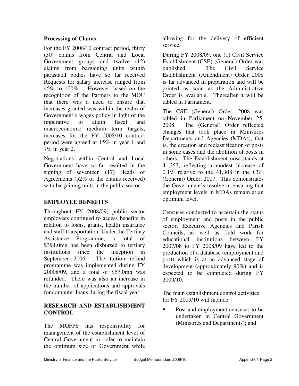### **Processing of Claims**

For the FY 2008/10 contract period, thirty (30) claims from Central and Local Government groups and twelve (12) claims from bargaining units within parastatal bodies have so far received Requests for salary increase ranged from 45% to 100%. However, based on the recognition of the Partners to the MOU that there was a need to ensure that increases granted was within the realm of Government's wages policy in light of the imperative to attain fiscal and macroeconomic medium term targets, increases for the FY 2008/10 contract period were agreed at 15% in year 1 and 7% in year 2.

Negotiations within Central and Local Government have so far resulted in the signing of seventeen (17) Heads of Agreements (52% of the claims received) with bargaining units in the public sector.

## **EMPLOYEE BENEFITS**

Throughout FY 2008/09, public sector employees continued to access benefits in relation to loans, grants, health insurance and staff transportation. Under the Tertiary Assistance Programme, a total of \$394.0mn has been disbursed to tertiary institutions since the inception in September 2006. The tuition refund programme was implemented during FY 20008/09, and a total of \$57.0mn was refunded. There was also an increase in the number of applications and approvals for computer loans during the fiscal year.

### **RESEARCH AND ESTABLISHMENT CONTROL**

The MOFPS has responsibility for management of the establishment level of Central Government in order to maintain the optimum size of Government while

allowing for the delivery of efficient service.

During FY 2008/09, one (1) Civil Service Establishment (CSE) (General) Order was published. The Civil Service Establishment (Amendment) Order 2008 is far advanced in preparation and will be printed as soon as the Administrative Order is available. Thereafter it will be tabled in Parliament.

The CSE (General) Order, 2008 was tabled in Parliament on November 25, 2008. The (General) Order reflected changes that took place in Ministries Departments and Agencies (MDAs), that is, the creation and reclassification of posts in some cases and the abolition of posts in others. The Establishment now stands at 41,353, reflecting a modest increase of 0.1% relative to the 41,308 in the CSE (General) Order, 2007. This demonstrates the Government's resolve in ensuring that employment levels in MDAs remain at an optimum level.

Censuses conducted to ascertain the status of employment and posts in the public sector, Executive Agencies and Parish Councils, as well as field work for educational institutions between FY 2007/08 to FY 2008/09 have led to the production of a database (employment and post) which is at an advanced stage of development (approximately 90%) and is expected to be completed during FY 2009/10.

The main establishment control activities for FY 2009/10 will include:

• Post and employment censuses to be undertaken in Central Government (Ministries and Departments); and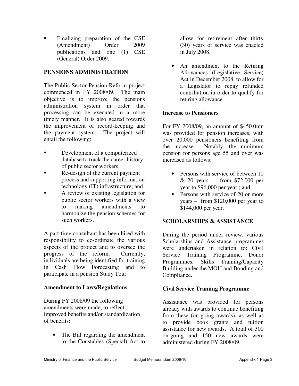Finalizing preparation of the CSE (Amendment) Order 2009 publications and one (1) CSE (General) Order 2009.

## **PENSIONS ADMINISTRATION**

The Public Sector Pension Reform project commenced in FY 2008/09. The main objective is to improve the pensions administration system in order that processing can be executed in a more timely manner. It is also geared towards the improvement of record-keeping and the payment system. The project will entail the following:

- Development of a computerized database to track the career history of public sector workers;
- Re-design of the current payment process and supporting information technology (IT) infrastructure; and
- A review of existing legislation for public sector workers with a view to making amendments to harmonize the pension schemes for such workers.

A part-time consultant has been hired with responsibility to co-ordinate the various aspects of the project and to oversee the progress of the reform. Currently, individuals are being identified for training in Cash Flow Forecasting and to participate in a pension Study Tour.

## **Amendment to Laws/Regulations**

During FY 2008/09 the following amendments were made, to reflect improved benefits and/or standardization of benefits**:** 

• The Bill regarding the amendment to the Constables (Special) Act to allow for retirement after thirty (30) years of service was enacted in July 2008.

• An amendment to the Retiring Allowances (Legislative Service) Act in December 2008, to allow for a Legislator to repay refunded contribution in order to qualify for retiring allowance.

### **Increase to Pensioners**

For FY 2008/09, an amount of \$450.0mn was provided for pension increases, with over 20,000 pensioners benefiting from the increase. Notably, the minimum pension for persons age 55 and over was increased as follows:

- Persons with service of between 10 & 20 years – from \$72,000 per year to \$96,000 per year ; and
- Persons with service of 20 or more years – from \$120,000 per year to \$144,000 per year.

## **SCHOLARSHIPS & ASSISTANCE**

During the period under review, various Scholarships and Assistance programmes were undertaken in relation to: Civil Service Training Programme, Donor Programmes, Skills Training/Capacity Building under the MOU and Bonding and Compliance.

## **Civil Service Training Programme**

Assistance was provided for persons already with awards to continue benefiting from these (on-going awards), as well as to provide book grants and tuition assistance for new awards. A total of 300 on-going and 150 new awards were administered during FY 2008/09.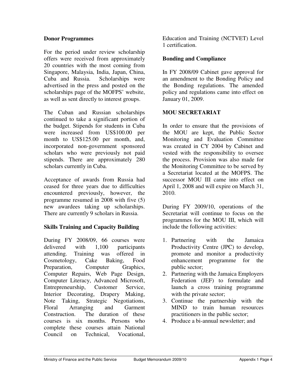### **Donor Programmes**

For the period under review scholarship offers were received from approximately 20 countries with the most coming from Singapore, Malaysia, India, Japan, China, Cuba and Russia. Scholarships were advertised in the press and posted on the scholarships page of the MOFPS' website, as well as sent directly to interest groups.

The Cuban and Russian scholarships continued to take a significant portion of the budget. Stipends for students in Cuba were increased from US\$100.00 per month to US\$125.00 per month, and, incorporated non-government sponsored scholars who were previously not paid stipends. There are approximately 280 scholars currently in Cuba.

Acceptance of awards from Russia had ceased for three years due to difficulties encountered previously, however, the programme resumed in 2008 with five (5) new awardees taking up scholarships. There are currently 9 scholars in Russia.

### **Skills Training and Capacity Building**

During FY 2008/09, 66 courses were delivered with 1,100 participants attending. Training was offered in Cosmetology, Cake Baking, Food Preparation, Computer Graphics, Computer Repairs, Web Page Design, Computer Literacy, Advanced Microsoft, Entrepreneurship, Customer Service, Interior Decorating, Drapery Making, Note Taking, Strategic Negotiations, Floral Arranging and Garment Construction. The duration of these courses is six months. Persons who complete these courses attain National Council on Technical, Vocational,

Education and Training (NCTVET) Level 1 certification.

### **Bonding and Compliance**

In FY 2008/09 Cabinet gave approval for an amendment to the Bonding Policy and the Bonding regulations. The amended policy and regulations came into effect on January 01, 2009.

### **MOU SECRETARIAT**

In order to ensure that the provisions of the MOU are kept, the Public Sector Monitoring and Evaluation Committee was created in CY 2004 by Cabinet and vested with the responsibility to oversee the process. Provision was also made for the Monitoring Committee to be served by a Secretariat located at the MOFPS. The successor MOU III came into effect on April 1, 2008 and will expire on March 31, 2010.

During FY 2009/10, operations of the Secretariat will continue to focus on the programmes for the MOU III, which will include the following activities:

- 1. Partnering with the Jamaica Productivity Centre (JPC) to develop, promote and monitor a productivity enhancement programme for the public sector;
- 2. Partnering with the Jamaica Employers Federation (JEF) to formulate and launch a cross training programme with the private sector;
- 3. Continue the partnership with the MIND to train human resources practitioners in the public sector;
- 4. Produce a bi-annual newsletter; and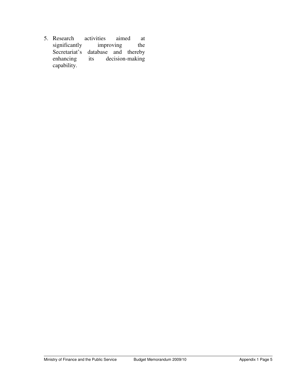5. Research activities aimed at significantly improving the significantly improving the Secretariat's database and thereby enhancing its decision-making capability.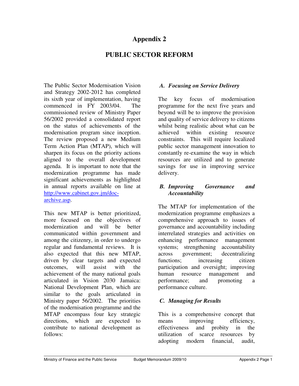## **Appendix 2**

## **PUBLIC SECTOR REFORM**

The Public Sector Modernisation Vision and Strategy 2002-2012 has completed its sixth year of implementation, having commenced in FY 2003/04. The commissioned review of Ministry Paper 56/2002 provided a consolidated report on the status of achievements of the modernisation program since inception. The review proposed a new Medium Term Action Plan (MTAP), which will sharpen its focus on the priority actions aligned to the overall development agenda. It is important to note that the modernization programme has made significant achievements as highlighted in annual reports available on line at http://www.cabinet.gov.jm/docarchive.asp.

This new MTAP is better prioritized, more focused on the objectives of modernization and will be better communicated within government and among the citizenry, in order to undergo regular and fundamental reviews. It is also expected that this new MTAP, driven by clear targets and expected outcomes, will assist with the achievement of the many national goals articulated in Vision 2030 Jamaica: National Development Plan, which are similar to the goals articulated in Ministry paper 56/2002. The priorities of the modernisation programme and the MTAP encompass four key strategic directions, which are expected to contribute to national development as follows:

### *A. Focusing on Service Delivery*

The key focus of modernisation programme for the next five years and beyond will be to improve the provision and quality of service delivery to citizens whilst being realistic about what can be achieved within existing resource constraints. This will require localized public sector management innovation to constantly re-examine the way in which resources are utilized and to generate savings for use in improving service delivery.

### *B. Improving Governance and Accountability*

The MTAP for implementation of the modernization programme emphasizes a comprehensive approach to issues of governance and accountability including interrelated strategies and activities on enhancing performance management systems; strengthening accountability across government; decentralizing functions; increasing citizen participation and oversight; improving human resource management and performance; and promoting a performance culture.

## *C. Managing for Results*

This is a comprehensive concept that means improving efficiency, effectiveness and probity in the utilization of scarce resources by adopting modern financial, audit,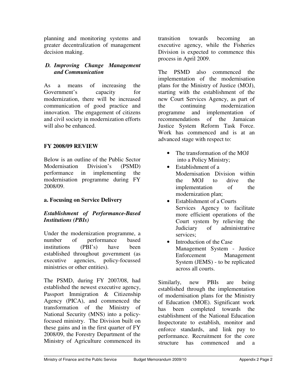planning and monitoring systems and greater decentralization of management decision making.

## *D. Improving Change Management and Communication*

As a means of increasing the Government's capacity for modernization, there will be increased communication of good practice and innovation. The engagement of citizens and civil society in modernization efforts will also be enhanced.

## **FY 2008/09 REVIEW**

Below is an outline of the Public Sector Modernisation Division's (PSMD) performance in implementing the modernisation programme during FY 2008/09.

## **a. Focusing on Service Delivery**

### *Establishment of Performance-Based Institutions (PBIs)*

Under the modernization programme, a number of performance based institutions (PBI's) have been established throughout government (as executive agencies, policy-focussed ministries or other entities).

The PSMD, during FY 2007/08, had established the newest executive agency, Passport Immigration & Citizenship Agency (PICA), and commenced the transformation of the Ministry of National Security (MNS) into a policyfocused ministry. The Division built on these gains and in the first quarter of FY 2008/09, the Forestry Department of the Ministry of Agriculture commenced its

transition towards becoming an executive agency, while the Fisheries Division is expected to commence this process in April 2009.

The PSMD also commenced the implementation of the modernisation plans for the Ministry of Justice (MOJ), starting with the establishment of the new Court Services Agency, as part of the continuing modernization programme and implementation of recommendations of the Jamaican Justice System Reform Task Force. Work has commenced and is at an advanced stage with respect to:

- The transformation of the MOJ into a Policy Ministry;
- Establishment of a Modernisation Division within the MOJ to drive the implementation of the modernization plan;
- Establishment of a Courts Services Agency to facilitate more efficient operations of the Court system by relieving the Judiciary of administrative services;
- Introduction of the Case Management System - Justice Enforcement Management System (JEMS) - to be replicated across all courts.

Similarly, new PBIs are being established through the implementation of modernisation plans for the Ministry of Education (MOE). Significant work has been completed towards the establishment of the National Education Inspectorate to establish, monitor and enforce standards, and link pay to performance. Recruitment for the core structure has commenced and a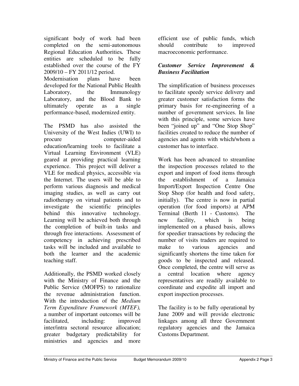significant body of work had been completed on the semi-autonomous Regional Education Authorities*.* These entities are scheduled to be fully established over the course of the FY 2009/10 – FY 2011/12 period.

Modernisation plans have been developed for the National Public Health Laboratory, the Immunology Laboratory, and the Blood Bank to ultimately operate as a single performance-based, modernized entity.

The PSMD has also assisted the University of the West Indies (UWI) to procure computer-aided education/learning tools to facilitate a Virtual Learning Environment (VLE) geared at providing practical learning experience. This project will deliver a VLE for medical physics, accessible via the Internet. The users will be able to perform various diagnosis and medical imaging studies, as well as carry out radiotherapy on virtual patients and to investigate the scientific principles behind this innovative technology. Learning will be achieved both through the completion of built-in tasks and through free interactions. Assessment of competency in achieving prescribed tasks will be included and available to both the learner and the academic teaching staff.

Additionally, the PSMD worked closely with the Ministry of Finance and the Public Service (MOFPS) to rationalize the revenue administration function. With the introduction of the *Medium Term Expenditure Framework (MTEF),* a number of important outcomes will be facilitated, including: improved inter/intra sectoral resource allocation; greater budgetary predictability for ministries and agencies and more

efficient use of public funds, which should contribute to improved macroeconomic performance.

## *Customer Service Improvement & Business Facilitation*

The simplification of business processes to facilitate speedy service delivery and greater customer satisfaction forms the primary basis for re-engineering of a number of government services. In line with this principle, some services have been "joined up" and "One Stop Shop" facilities created to reduce the number of agencies and agents with which/whom a customer has to interface.

Work has been advanced to streamline the inspection processes related to the export and import of food items through the establishment of a Jamaica Import/Export Inspection Centre One Stop Shop (for health and food safety, initially). The centre is now in partial operation (for food imports) at APM Terminal (Berth 11 - Customs). The new facility, which is being implemented on a phased basis, allows for speedier transactions by reducing the number of visits traders are required to make to various agencies and significantly shortens the time taken for goods to be inspected and released. Once completed, the centre will serve as a central location where agency representatives are readily available to coordinate and expedite all import and export inspection processes.

The facility is to be fully operational by June 2009 and will provide electronic linkages among all three Government regulatory agencies and the Jamaica Customs Department.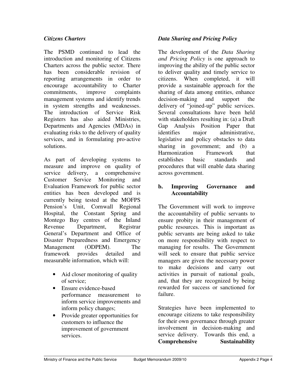### *Citizens Charters*

The PSMD continued to lead the introduction and monitoring of Citizens Charters across the public sector. There has been considerable revision of reporting arrangements in order to encourage accountability to Charter commitments, improve complaints management systems and identify trends in system strengths and weaknesses. The introduction of Service Risk Registers has also aided Ministries, Departments and Agencies (MDAs) in evaluating risks to the delivery of quality services, and in formulating pro-active solutions.

As part of developing systems to measure and improve on quality of service delivery, a comprehensive Customer Service Monitoring and Evaluation Framework for public sector entities has been developed and is currently being tested at the MOFPS Pension's Unit, Cornwall Regional Hospital, the Constant Spring and Montego Bay centres of the Inland Revenue Department, Registrar General's Department and Office of Disaster Preparedness and Emergency Management (ODPEM). The framework provides detailed and measurable information, which will:

- Aid closer monitoring of quality of service;
- Ensure evidence-based performance measurement to inform service improvements and inform policy changes;
- Provide greater opportunities for customers to influence the improvement of government services.

### *Data Sharing and Pricing Policy*

The development of the *Data Sharing and Pricing Policy* is one approach to improving the ability of the public sector to deliver quality and timely service to citizens. When completed, it will provide a sustainable approach for the sharing of data among entities, enhance decision-making and support the delivery of "joined-up" public services. Several consultations have been held with stakeholders resulting in: (a) a Draft Gap Analysis Position Paper that identifies major administrative, legislative and policy obstacles to data sharing in government; and (b) a Harmonization Framework that establishes basic standards and procedures that will enable data sharing across government.

### **b. Improving Governance and Accountability**

The Government will work to improve the accountability of public servants to ensure probity in their management of public resources. This is important as public servants are being asked to take on more responsibility with respect to managing for results. The Government will seek to ensure that public service managers are given the necessary power to make decisions and carry out activities in pursuit of national goals, and, that they are recognized by being rewarded for success or sanctioned for failure.

Strategies have been implemented to encourage citizens to take responsibility for their own governance through greater involvement in decision-making and service delivery. Towards this end, a **Comprehensive Sustainability**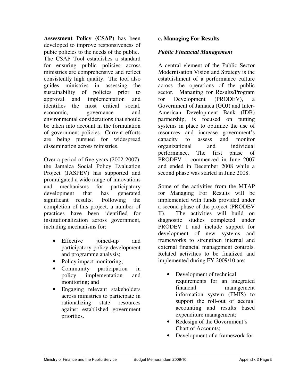**Assessment Policy (CSAP)** has been developed to improve responsiveness of pubic policies to the needs of the public. The CSAP Tool establishes a standard for ensuring public policies across ministries are comprehensive and reflect consistently high quality. The tool also guides ministries in assessing the sustainability of policies prior to approval and implementation and identifies the most critical social, economic, governance and environmental considerations that should be taken into account in the formulation of government policies. Current efforts are being pursued for widespread dissemination across ministries.

Over a period of five years (2002-2007), the Jamaica Social Policy Evaluation Project (JASPEV) has supported and promulgated a wide range of innovations and mechanisms for participatory development that has generated significant results. Following the completion of this project, a number of practices have been identified for institutionalization across government, including mechanisms for:

- Effective joined-up and participatory policy development and programme analysis;
- Policy impact monitoring;
- Community participation in policy implementation and monitoring; and
- Engaging relevant stakeholders across ministries to participate in rationalizing state resources against established government priorities.

## **c. Managing For Results**

### *Public Financial Management*

A central element of the Public Sector Modernisation Vision and Strategy is the establishment of a performance culture across the operations of the public sector. Managing for Results/Program for Development (PRODEV), Government of Jamaica (GOJ) and Inter-American Development Bank (IDB) partnership, is focused on putting systems in place to optimize the use of resources and increase government's capacity to assess and monitor organizational and individual performance. The first phase of PRODEV 1 commenced in June 2007 and ended in December 2008 while a second phase was started in June 2008.

Some of the activities from the MTAP for Managing For Results will be implemented with funds provided under a second phase of the project (PRODEV II). The activities will build on diagnostic studies completed under PRODEV I and include support for development of new systems and frameworks to strengthen internal and external financial management controls. Related activities to be finalized and implemented during FY 2009/10 are:

- Development of technical requirements for an integrated financial management information system (FMIS) to support the roll-out of accrual accounting and results based expenditure management;
- Redesign of the Government's Chart of Accounts;
- Development of a framework for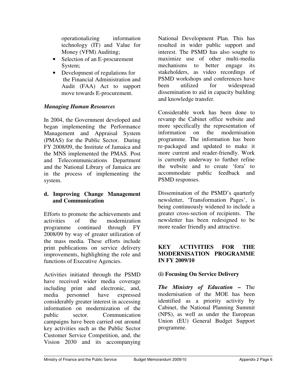operationalizing information technology (IT) and Value for Money (VFM) Auditing;

- Selection of an E-procurement System;
- Development of regulations for the Financial Administration and Audit (FAA) Act to support move towards E-procurement.

### *Managing Human Resources*

In 2004, the Government developed and began implementing the Performance Management and Appraisal System (PMAS) for the Public Sector. During FY 2008/09, the Institute of Jamaica and the MNS implemented the PMAS. Post and Telecommunications Department and the National Library of Jamaica are in the process of implementing the system.

### **d. Improving Change Management and Communication**

Efforts to promote the achievements and activities of the modernization programme continued through FY 2008/09 by way of greater utilization of the mass media. These efforts include print publications on service delivery improvements, highlighting the role and functions of Executive Agencies.

Activities initiated through the PSMD have received wider media coverage including print and electronic, and, media personnel have expressed considerably greater interest in accessing information on modernization of the public sector. Communication campaigns have been carried out around key activities such as the Public Sector Customer Service Competition, and, the Vision 2030 and its accompanying

National Development Plan. This has resulted in wider public support and interest. The PSMD has also sought to maximize use of other multi-media mechanisms to better engage its stakeholders, as video recordings of PSMD workshops and conferences have been utilized for widespread dissemination to aid in capacity building and knowledge transfer.

Considerable work has been done to revamp the Cabinet office website and more specifically the representation of information on the modernisation programme. The information has been re-packaged and updated to make it more current and reader-friendly. Work is currently underway to further refine the website and to create 'fora' to accommodate public feedback and PSMD responses.

Dissemination of the PSMD's quarterly newsletter, 'Transformation Pages', is being continuously widened to include a greater cross-section of recipients. The newsletter has been redesigned to be more reader friendly and attractive.

### **KEY ACTIVITIES FOR THE MODERNISATION PROGRAMME IN FY 2009/10**

### **(i) Focusing On Service Delivery**

*The Ministry of Education* **–** The modernisation of the MOE has been identified as a priority activity by Cabinet, the National Planning Summit (NPS), as well as under the European Union (EU) General Budget Support programme.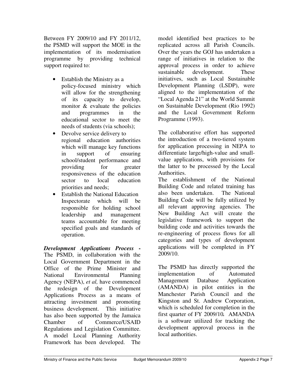Between FY 2009/10 and FY 2011/12, the PSMD will support the MOE in the implementation of its modernisation programme by providing technical support required to:

- Establish the Ministry as a policy-focused ministry which will allow for the strengthening of its capacity to develop, monitor & evaluate the policies and programmes in the educational sector to meet the needs of students (via schools);
- Devolve service delivery to regional education authorities which will manage key functions in support of ensuring school/student performance and providing for greater responsiveness of the education sector to local education priorities and needs;
- Establish the National Education Inspectorate which will be responsible for holding school leadership and management teams accountable for meeting specified goals and standards of operation.

*Development Applications Process* **-** The PSMD, in collaboration with the Local Government Department in the Office of the Prime Minister and National Environmental Planning Agency (NEPA), *et al,* have commenced the redesign of the Development Applications Process as a means of attracting investment and promoting business development. This initiative has also been supported by the Jamaica Chamber of Commerce/USAID Regulations and Legislation Committee. A model Local Planning Authority Framework has been developed. The

model identified best practices to be replicated across all Parish Councils. Over the years the GOJ has undertaken a range of initiatives in relation to the approval process in order to achieve sustainable development. These initiatives, such as Local Sustainable Development Planning (LSDP), were aligned to the implementation of the "Local Agenda 21" at the World Summit on Sustainable Development (Rio 1992) and the Local Government Reform Programme (1993).

The collaborative effort has supported the introduction of a two-tiered system for application processing in NEPA to differentiate large/high-value and smallvalue applications, with provisions for the latter to be processed by the Local Authorities.

The establishment of the National Building Code and related training has also been undertaken. The National Building Code will be fully utilized by all relevant approving agencies. The New Building Act will create the legislative framework to support the building code and activities towards the re-engineering of process flows for all categories and types of development applications will be completed in FY 2009/10.

The PSMD has directly supported the implementation of Automated Management Database Application (AMANDA) in pilot entities in the Manchester Parish Council and the Kingston and St. Andrew Corporation, which is scheduled for completion in the first quarter of FY 2009/10*.* AMANDA is a software utilized for tracking the development approval process in the local authorities.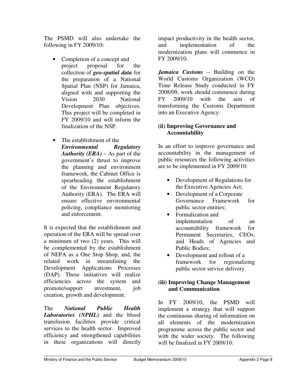The PSMD will also undertake the following in FY 2009/10:

- Completion of a concept and project proposal for the collection of *geo-spatial data* for the preparation of a National Spatial Plan (NSP) for Jamaica, aligned with and supporting the Vision 2030 National Development Plan objectives. This project will be completed in FY 2009/10 and will inform the finalization of the NSP.
- The establishment of the *Environmental Regulatory Authority (ERA)* – As part of the government's thrust to improve the planning and environment framework, the Cabinet Office is spearheading the establishment of the Environment Regulatory Authority (ERA). The ERA will ensure effective environmental policing, compliance monitoring and enforcement.

It is expected that the establishment and operation of the ERA will be spread over a minimum of two (2) years. This will be complemented by the establishment of NEPA as a One Stop Shop, and, the related work in streamlining the Development Applications Processes (DAP). These initiatives will realize efficiencies across the system and promote/support investment, job creation, growth and development.

The *National Public Health Laboratories (NPHL***)** and the blood transfusion facilities provide critical services to the health sector. Improved efficiency and strengthened capabilities in these organizations will directly

impact productivity in the health sector, and implementation of the modernization plans will commence in FY 2009/10.

*Jamaica Customs* – Building on the World Customs Organization (WCO) Time Release Study conducted in FY 2008/09, work should commence during FY 2009/10 with the aim of transforming the Customs Department into an Executive Agency.

## **(ii) Improving Governance and Accountability**

In an effort to improve governance and accountability in the management of public resources the following activities are to be implemented in FY 2009/10:

- Development of Regulations for the Executive Agencies Act;
- Development of a Corporate Governance Framework for public sector entities;
- Formalization and implementation of an accountability framework for Permanent Secretaries, CEOs, and Heads of Agencies and Public Bodies;
- Development and rollout of a framework for regionalizing public sector service delivery.

## **(iii) Improving Change Management and Communication**

In FY 2009/10, the PSMD will implement a strategy that will support the continuous sharing of information on all elements of the modernization programme across the public sector and with the wider society. The following will be finalized in FY 2009/10: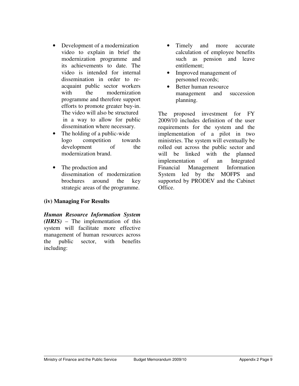- Development of a modernization video to explain in brief the modernization programme and its achievements to date. The video is intended for internal dissemination in order to reacquaint public sector workers with the modernization programme and therefore support efforts to promote greater buy-in. The video will also be structured in a way to allow for public dissemination where necessary.
- The holding of a public-wide logo competition towards development of the modernization brand.
- The production and dissemination of modernization brochures around the key strategic areas of the programme.

### **(iv) Managing For Results**

*Human Resource Information System (HRIS)* – The implementation of this system will facilitate more effective management of human resources across the public sector, with benefits including:

- Timely and more accurate calculation of employee benefits such as pension and leave entitlement;
- Improved management of personnel records;
- Better human resource management and succession planning.

The proposed investment for FY 2009/10 includes definition of the user requirements for the system and the implementation of a pilot in two ministries. The system will eventually be rolled out across the public sector and will be linked with the planned implementation of an Integrated Financial Management Information System led by the MOFPS and supported by PRODEV and the Cabinet Office.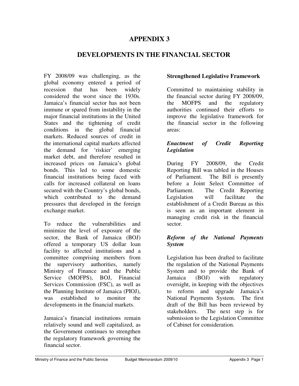## **APPENDIX 3**

## **DEVELOPMENTS IN THE FINANCIAL SECTOR**

FY 2008/09 was challenging, as the global economy entered a period of recession that has been widely considered the worst since the 1930s. Jamaica's financial sector has not been immune or spared from instability in the major financial institutions in the United States and the tightening of credit conditions in the global financial markets. Reduced sources of credit in the international capital markets affected the demand for 'riskier' emerging market debt, and therefore resulted in increased prices on Jamaica's global bonds. This led to some domestic financial institutions being faced with calls for increased collateral on loans secured with the Country's global bonds, which contributed to the demand pressures that developed in the foreign exchange market.

To reduce the vulnerabilities and minimize the level of exposure of the sector, the Bank of Jamaica (BOJ) offered a temporary US dollar loan facility to affected institutions and a committee comprising members from the supervisory authorities, namely Ministry of Finance and the Public Service (MOFPS), BOJ, Financial Services Commission (FSC), as well as the Planning Institute of Jamaica (PIOJ), was established to monitor the developments in the financial markets.

Jamaica's financial institutions remain relatively sound and well capitalized, as the Government continues to strengthen the regulatory framework governing the financial sector.

### **Strengthened Legislative Framework**

Committed to maintaining stability in the financial sector during FY 2008/09, the MOFPS and the regulatory authorities continued their efforts to improve the legislative framework for the financial sector in the following areas:

### *Enactment of Credit Reporting Legislation*

During FY 2008/09, the Credit Reporting Bill was tabled in the Houses of Parliament. The Bill is presently before a Joint Select Committee of Parliament. The Credit Reporting Legislation will facilitate the establishment of a Credit Bureau as this is seen as an important element in managing credit risk in the financial sector.

### *Reform of the National Payments System*

Legislation has been drafted to facilitate the regulation of the National Payments System and to provide the Bank of Jamaica (BOJ) with regulatory oversight, in keeping with the objectives to reform and upgrade Jamaica's National Payments System. The first draft of the Bill has been reviewed by stakeholders. The next step is for submission to the Legislation Committee of Cabinet for consideration.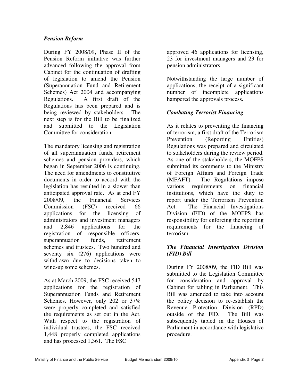### *Pension Reform*

During FY 2008/09**,** Phase II of the Pension Reform initiative was further advanced following the approval from Cabinet for the continuation of drafting of legislation to amend the Pension (Superannuation Fund and Retirement Schemes) Act 2004 and accompanying Regulations. A first draft of the Regulations has been prepared and is being reviewed by stakeholders. The next step is for the Bill to be finalized and submitted to the Legislation Committee for consideration.

The mandatory licensing and registration of all superannuation funds, retirement schemes and pension providers, which began in September 2006 is continuing. The need for amendments to constitutive documents in order to accord with the legislation has resulted in a slower than anticipated approval rate. As at end FY 2008/09, the Financial Services Commission (FSC) received 66 applications for the licensing of administrators and investment managers and 2,846 applications for the registration of responsible officers, superannuation funds, retirement schemes and trustees. Two hundred and seventy six (276) applications were withdrawn due to decisions taken to wind-up some schemes.

As at March 2009, the FSC received 547 applications for the registration of Superannuation Funds and Retirement Schemes. However, only 202 or 37% were properly completed and satisfied the requirements as set out in the Act. With respect to the registration of individual trustees, the FSC received 1,448 properly completed applications and has processed 1,361. The FSC

approved 46 applications for licensing, 23 for investment managers and 23 for pension administrators.

Notwithstanding the large number of applications, the receipt of a significant number of incomplete applications hampered the approvals process.

### *Combating Terrorist Financing*

As it relates to preventing the financing of terrorism, a first draft of the Terrorism Prevention (Reporting Entities) Regulations was prepared and circulated to stakeholders during the review period. As one of the stakeholders, the MOFPS submitted its comments to the Ministry of Foreign Affairs and Foreign Trade (MFAFT). The Regulations impose various requirements on financial institutions, which have the duty to report under the Terrorism Prevention Act. The Financial Investigations Division (FID) of the MOFPS has responsibility for enforcing the reporting requirements for the financing of terrorism.

### *The Financial Investigation Division (FID) Bill*

During FY 2008/09, the FID Bill was submitted to the Legislation Committee for consideration and approval by Cabinet for tabling in Parliament. This Bill was amended to take into account the policy decision to re-establish the Revenue Protection Division (RPD) outside of the FID. The Bill was subsequently tabled in the Houses of Parliament in accordance with legislative procedure.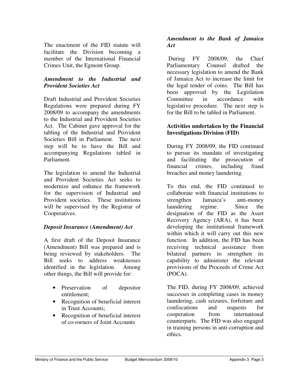The enactment of the FID statute will facilitate the Division becoming a member of the International Financial Crimes Unit, the Egmont Group.

### *Amendment to the Industrial and Provident Societies Act*

Draft Industrial and Provident Societies Regulations were prepared during FY 2008/09 to accompany the amendments to the Industrial and Provident Societies Act. The Cabinet gave approval for the tabling of the Industrial and Provident Societies Bill in Parliament. The next step will be to have the Bill and accompanying Regulations tabled in Parliament.

The legislation to amend the Industrial and Provident Societies Act seeks to modernize and enhance the framework for the supervision of Industrial and Provident societies. These institutions will be supervised by the Registrar of Cooperatives.

## *Deposit Insurance (Amendment) Act*

A first draft of the Deposit Insurance (Amendment) Bill was prepared and is being reviewed by stakeholders. The Bill seeks to address weaknesses identified in the legislation. Among other things, the Bill will provide for:

- Preservation of depositor entitlement;
- Recognition of beneficial interest in Trust Accounts;
- Recognition of beneficial interest of co-owners of Joint Accounts

## *Amendment to the Bank of Jamaica Act*

 During FY 2008/09, the Chief Parliamentary Counsel drafted the necessary legislation to amend the Bank of Jamaica Act to increase the limit for the legal tender of coins. The Bill has been approved by the Legislation Committee in accordance with legislative procedure. The next step is for the Bill to be tabled in Parliament.

### **Activities undertaken by the Financial Investigations Division (FID)**

During FY 2008/09, the FID continued to pursue its mandate of investigating and facilitating the prosecution of financial crimes, including fraud breaches and money laundering.

To this end, the FID continued to collaborate with financial institutions to strengthen Jamaica's anti-money laundering regime. Since the designation of the FID as the Asset Recovery Agency (ARA), it has been developing the institutional framework within which it will carry out this new function. In addition, the FID has been receiving technical assistance from bilateral partners to strengthen its capability to administer the relevant provisions of the Proceeds of Crime Act (POCA).

The FID, during FY 2008/09, achieved successes in completing cases in money laundering, cash seizures, forfeiture and confiscations and requests for cooperation from international counterparts. The FID was also engaged in training persons in anti-corruption and ethics.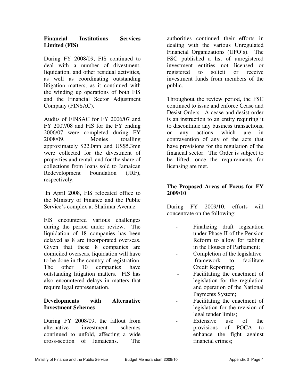### **Financial Institutions Services Limited (FIS)**

During FY 2008/09, FIS continued to deal with a number of divestment, liquidation, and other residual activities, as well as coordinating outstanding litigation matters, as it continued with the winding up operations of both FIS and the Financial Sector Adjustment Company (FINSAC).

Audits of FINSAC for FY 2006/07 and FY 2007/08 and FIS for the FY ending 2006/07 were completed during FY 2008/09. Monies totalling approximately \$22.0mn and US\$5.3mn were collected for the divestment of properties and rental, and for the share of collections from loans sold to Jamaican Redevelopment Foundation (JRF), respectively.

In April 2008, FIS relocated office to the Ministry of Finance and the Public Service's complex at Shalimar Avenue.

FIS encountered various challenges during the period under review. The liquidation of 18 companies has been delayed as 8 are incorporated overseas. Given that these 8 companies are domiciled overseas, liquidation will have to be done in the country of registration. The other 10 companies have outstanding litigation matters. FIS has also encountered delays in matters that require legal representation.

## **Developments with Alternative Investment Schemes**

During FY 2008/09, the fallout from alternative investment schemes continued to unfold, affecting a wide cross-section of Jamaicans. The

authorities continued their efforts in dealing with the various Unregulated Financial Organizations (UFO's). The FSC published a list of unregistered investment entities not licensed or registered to solicit or receive investment funds from members of the public.

Throughout the review period, the FSC continued to issue and enforce Cease and Desist Orders. A cease and desist order is an instruction to an entity requiring it to discontinue any business transactions, or any actions which are in contravention of any of the acts that have provisions for the regulation of the financial sector. The Order is subject to be lifted, once the requirements for licensing are met.

## **The Proposed Areas of Focus for FY 2009/10**

During FY 2009/10, efforts will concentrate on the following:

- Finalizing draft legislation under Phase II of the Pension Reform to allow for tabling in the Houses of Parliament;
	- Completion of the legislative framework to facilitate Credit Reporting;
- Facilitating the enactment of legislation for the regulation and operation of the National Payments System;
- Facilitating the enactment of legislation for the revision of legal tender limits;
	- Extensive use of the provisions of POCA to enhance the fight against financial crimes;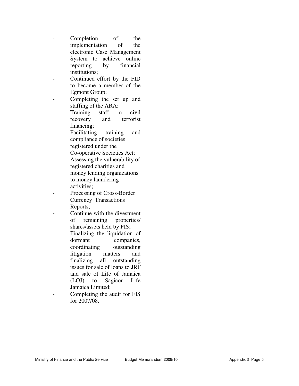- Completion of the implementation of the electronic Case Management System to achieve online reporting by financial institutions;
- Continued effort by the FID to become a member of the Egmont Group;
- Completing the set up and staffing of the ARA;
- Training staff in civil recovery and terrorist financing;
- Facilitating training and compliance of societies registered under the Co-operative Societies Act;
- Assessing the vulnerability of registered charities and money lending organizations to money laundering activities;
- Processing of Cross-Border Currency Transactions Reports;
- Continue with the divestment of remaining properties/ shares/assets held by FIS;
- Finalizing the liquidation of dormant companies, coordinating outstanding litigation matters and finalizing all outstanding issues for sale of loans to JRF and sale of Life of Jamaica (LOJ) to Sagicor Life Jamaica Limited;
- Completing the audit for FIS for 2007/08.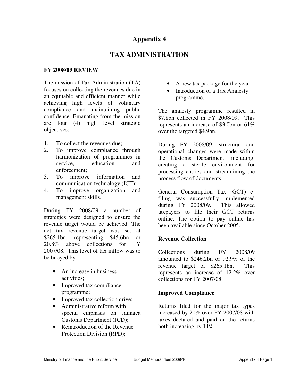## **Appendix 4**

## **TAX ADMINISTRATION**

### **FY 2008/09 REVIEW**

The mission of Tax Administration (TA) focuses on collecting the revenues due in an equitable and efficient manner while achieving high levels of voluntary compliance and maintaining public confidence. Emanating from the mission are four (4) high level strategic objectives:

- 1. To collect the revenues due;
- 2. To improve compliance through harmonization of programmes in service, education and enforcement;
- 3. To improve information and communication technology (ICT);
- 4. To improve organization and management skills.

During FY 2008/09 a number of strategies were designed to ensure the revenue target would be achieved. The net tax revenue target was set at \$265.1bn, representing \$45.6bn or 20.8% above collections for FY 2007/08. This level of tax inflow was to be buoyed by:

- An increase in business activities;
- Improved tax compliance programme;
- Improved tax collection drive;
- Administrative reform with special emphasis on Jamaica Customs Department (JCD);
- Reintroduction of the Revenue Protection Division (RPD);
- A new tax package for the year;
- Introduction of a Tax Amnesty programme.

The amnesty programme resulted in \$7.8bn collected in FY 2008/09. This represents an increase of \$3.0bn or 61% over the targeted \$4.9bn.

During FY 2008/09, structural and operational changes were made within the Customs Department, including: creating a sterile environment for processing entries and streamlining the process flow of documents.

General Consumption Tax (GCT) efiling was successfully implemented during FY 2008/09. This allowed taxpayers to file their GCT returns online. The option to pay online has been available since October 2005.

### **Revenue Collection**

Collections during FY 2008/09 amounted to \$246.2bn or 92.9% of the revenue target of \$265.1bn. This represents an increase of 12.2% over collections for FY 2007/08.

### **Improved Compliance**

Returns filed for the major tax types increased by 20% over FY 2007/08 with taxes declared and paid on the returns both increasing by 14%.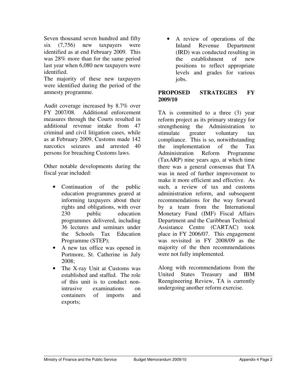Seven thousand seven hundred and fifty six (7,756) new taxpayers were identified as at end February 2009. This was 28% more than for the same period last year when 6,080 new taxpayers were identified.

The majority of these new taxpayers were identified during the period of the amnesty programme.

Audit coverage increased by 8.7% over FY 2007/08. Additional enforcement measures through the Courts resulted in additional revenue intake from 47 criminal and civil litigation cases, while as at February 2009, Customs made 142 narcotics seizures and arrested 40 persons for breaching Customs laws.

Other notable developments during the fiscal year included:

- Continuation of the public education programmes geared at informing taxpayers about their rights and obligations, with over 230 public education programmes delivered, including 36 lectures and seminars under the Schools Tax Education Programme (STEP);
- A new tax office was opened in Portmore, St. Catherine in July 2008;
- The X-ray Unit at Customs was established and staffed. The role of this unit is to conduct nonintrusive examinations on containers of imports and exports;

• A review of operations of the Inland Revenue Department (IRD) was conducted resulting in the establishment of new positions to reflect appropriate levels and grades for various jobs.

### **PROPOSED STRATEGIES FY 2009/10**

TA is committed to a three (3) year reform project as its primary strategy for strengthening the Administration to stimulate greater voluntary tax compliance. This is so, notwithstanding the implementation of the Tax Administration Reform Programme (TaxARP) nine years ago, at which time there was a general consensus that TA was in need of further improvement to make it more efficient and effective. As such, a review of tax and customs administration reform, and subsequent recommendations for the way forward by a team from the International Monetary Fund (IMF) Fiscal Affairs Department and the Caribbean Technical Assistance Centre (CARTAC) took place in FY 2006/07. This engagement was revisited in FY 2008/09 as the majority of the then recommendations were not fully implemented.

Along with recommendations from the United States Treasury and IBM Reengineering Review, TA is currently undergoing another reform exercise.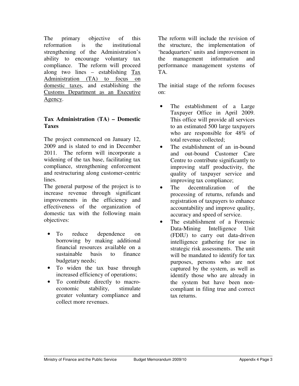The primary objective of this reformation is the institutional strengthening of the Administration's ability to encourage voluntary tax compliance. The reform will proceed along two lines – establishing Tax Administration (TA) to focus on domestic taxes, and establishing the Customs Department as an Executive Agency.

### **Tax Administration (TA) – Domestic Taxes**

The project commenced on January 12, 2009 and is slated to end in December 2011. The reform will incorporate a widening of the tax base, facilitating tax compliance, strengthening enforcement and restructuring along customer-centric lines.

The general purpose of the project is to increase revenue through significant improvements in the efficiency and effectiveness of the organization of domestic tax with the following main objectives:

- To reduce dependence on borrowing by making additional financial resources available on a sustainable basis to finance budgetary needs;
- To widen the tax base through increased efficiency of operations;
- To contribute directly to macroeconomic stability, stimulate greater voluntary compliance and collect more revenues.

The reform will include the revision of the structure, the implementation of 'headquarters' units and improvement in the management information and performance management systems of TA.

The initial stage of the reform focuses on:

- The establishment of a Large Taxpayer Office in April 2009. This office will provide all services to an estimated 500 large taxpayers who are responsible for 48% of total revenue collected;
- The establishment of an in-bound and out-bound Customer Care Centre to contribute significantly to improving staff productivity, the quality of taxpayer service and improving tax compliance;
- The decentralization of the processing of returns, refunds and registration of taxpayers to enhance accountability and improve quality, accuracy and speed of service.
- The establishment of a Forensic Data-Mining Intelligence Unit (FDIU) to carry out data-driven intelligence gathering for use in strategic risk assessments. The unit will be mandated to identify for tax purposes, persons who are not captured by the system, as well as identify those who are already in the system but have been noncompliant in filing true and correct tax returns.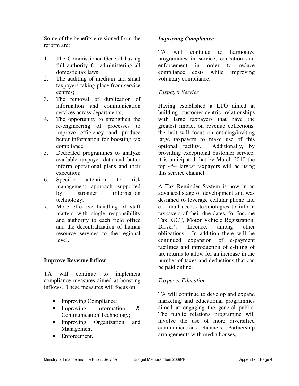Some of the benefits envisioned from the reform are:

- 1. The Commissioner General having full authority for administering all domestic tax laws;
- 2. The auditing of medium and small taxpayers taking place from service centres;
- 3. The removal of duplication of information and communication services across departments;
- 4. The opportunity to strengthen the re-engineering of processes to improve efficiency and produce better information for boosting tax compliance;
- 5. Dedicated programmes to analyze available taxpayer data and better inform operational plans and their execution;
- 6. Specific attention to risk management approach supported by stronger information technology;
- 7. More effective handling of staff matters with single responsibility and authority to each field office and the decentralization of human resource services to the regional level.

## **Improve Revenue Inflow**

TA will continue to implement compliance measures aimed at boosting inflows. These measures will focus on:

- Improving Compliance;
- Improving Information & Communication Technology;
- Improving Organization and Management;
- Enforcement.

## *Improving Compliance*

TA will continue to harmonize programmes in service, education and enforcement in order to reduce compliance costs while improving voluntary compliance.

### *Taxpayer Service*

Having established a LTO aimed at building customer-centric relationships with large taxpayers that have the greatest impact on revenue collections, the unit will focus on enticing/inviting large taxpayers to make use of this optional facility. Additionally, by providing exceptional customer service, it is anticipated that by March 2010 the top 454 largest taxpayers will be using this service channel.

A Tax Reminder System is now in an advanced stage of development and was designed to leverage cellular phone and e – mail access technologies to inform taxpayers of their due dates, for Income Tax, GCT, Motor Vehicle Registration, Driver's Licence, among other obligations. In addition there will be continued expansion of e-payment facilities and introduction of e-filing of tax returns to allow for an increase in the number of taxes and deductions that can be paid online.

## *Taxpayer Education*

TA will continue to develop and expand marketing and educational programmes aimed at engaging the general public. The public relations programme will involve the use of more diversified communications channels. Partnership arrangements with media houses,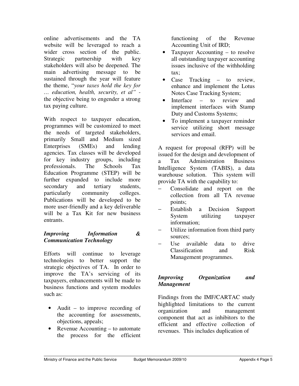online advertisements and the TA website will be leveraged to reach a wider cross section of the public. Strategic partnership with key stakeholders will also be deepened. The main advertising message to be sustained through the year will feature the theme, "*your taxes hold the key for … education, health, security, et al"*  the objective being to engender a strong tax paying culture.

With respect to taxpayer education, programmes will be customized to meet the needs of targeted stakeholders, primarily Small and Medium sized Enterprises (SMEs) and lending agencies. Tax classes will be developed for key industry groups, including professionals. The Schools Tax Education Programme (STEP) will be further expanded to include more secondary and tertiary students, particularly community colleges. Publications will be developed to be more user-friendly and a key deliverable will be a Tax Kit for new business entrants.

## *Improving Information & Communication Technology*

Efforts will continue to leverage technologies to better support the strategic objectives of TA. In order to improve the TA's servicing of its taxpayers, enhancements will be made to business functions and system modules such as:

- Audit to improve recording of the accounting for assessments, objections, appeals;
- Revenue Accounting to automate the process for the efficient

functioning of the Revenue Accounting Unit of IRD;

- Taxpayer Accounting to resolve all outstanding taxpayer accounting issues inclusive of the withholding tax;
- Case Tracking to review, enhance and implement the Lotus Notes Case Tracking System;
- Interface to review and implement interfaces with Stamp Duty and Customs Systems;
- To implement a taxpayer reminder service utilizing short message services and email.

A request for proposal (RFP) will be issued for the design and development of a Tax Administration Business Intelligence System (TABIS), a data warehouse solution. This system will provide TA with the capability to:

- − Consolidate and report on the collection from all TA revenue points;
- Establish a Decision Support System utilizing taxpayer information;
- Utilize information from third party sources;
- Use available data to drive Classification and Risk Management programmes.

## *Improving Organization and Management*

Findings from the IMF/CARTAC study highlighted limitations to the current organization and management component that act as inhibitors to the efficient and effective collection of revenues. This includes duplication of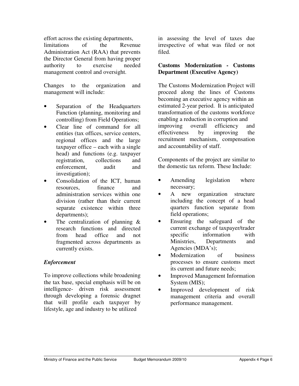effort across the existing departments,

limitations of the Revenue Administration Act (RAA) that prevents the Director General from having proper authority to exercise needed management control and oversight.

Changes to the organization and management will include:

- Separation of the Headquarters Function (planning, monitoring and controlling) from Field Operations;
- Clear line of command for all entities (tax offices, service centers, regional offices and the large taxpayer office – each with a single head) and functions (e.g. taxpayer registration, collections and enforcement, audit and investigation);
- Consolidation of the ICT, human resources, finance and administration services within one division (rather than their current separate existence within three departments);
- The centralization of planning  $\&$ research functions and directed from head office and not fragmented across departments as currently exists.

## *Enforcement*

To improve collections while broadening the tax base, special emphasis will be on intelligence- driven risk assessment through developing a forensic dragnet that will profile each taxpayer by lifestyle, age and industry to be utilized

in assessing the level of taxes due irrespective of what was filed or not filed.

## **Customs Modernization - Customs Department (Executive Agency)**

The Customs Modernization Project will proceed along the lines of Customs becoming an executive agency within an estimated 2-year period. It is anticipated transformation of the customs workforce enabling a reduction in corruption and improving overall efficiency and effectiveness by improving the recruitment mechanism, compensation and accountability of staff.

Components of the project are similar to the domestic tax reform. These Include:

- Amending legislation where necessary;
- A new organization structure including the concept of a head quarters function separate from field operations;
- Ensuring the safeguard of the current exchange of taxpayer/trader specific information with Ministries, Departments and Agencies (MDA's);
- Modernization of business processes to ensure customs meet its current and future needs;
- Improved Management Information System (MIS);
- Improved development of risk management criteria and overall performance management.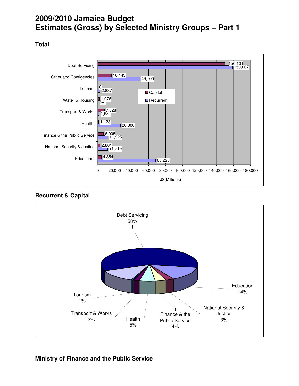# **2009/2010 Jamaica Budget Estimates (Gross) by Selected Ministry Groups – Part 1**

## **Total**







### **Ministry of Finance and the Public Service**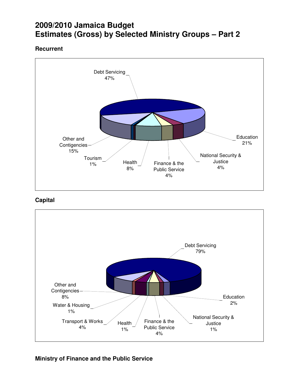# **2009/2010 Jamaica Budget Estimates (Gross) by Selected Ministry Groups – Part 2**

## **Recurrent**



## **Capital**



## **Ministry of Finance and the Public Service**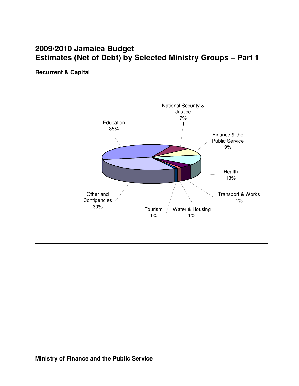# **2009/2010 Jamaica Budget Estimates (Net of Debt) by Selected Ministry Groups – Part 1**

## **Recurrent & Capital**

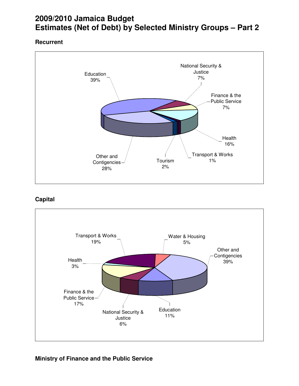# **2009/2010 Jamaica Budget Estimates (Net of Debt) by Selected Ministry Groups – Part 2**

## **Recurrent**



## **Capital**



## **Ministry of Finance and the Public Service**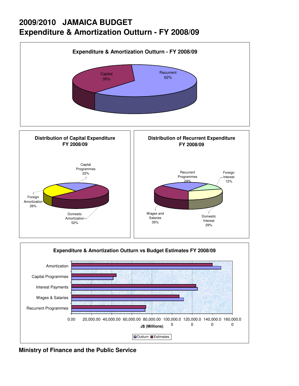# **2009/2010 JAMAICA BUDGET Expenditure & Amortization Outturn - FY 2008/09**





**Ministry of Finance and the Public Service**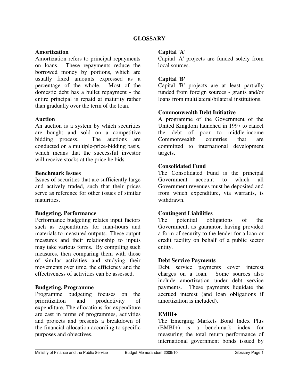### **Amortization**

Amortization refers to principal repayments on loans. These repayments reduce the borrowed money by portions, which are usually fixed amounts expressed as a percentage of the whole. Most of the domestic debt has a bullet repayment - the entire principal is repaid at maturity rather than gradually over the term of the loan.

### **Auction**

An auction is a system by which securities are bought and sold on a competitive bidding process. The auctions are conducted on a multiple-price-bidding basis, which means that the successful investor will receive stocks at the price he bids.

### **Benchmark Issues**

Issues of securities that are sufficiently large and actively traded, such that their prices serve as reference for other issues of similar maturities.

### **Budgeting, Performance**

Performance budgeting relates input factors such as expenditures for man-hours and materials to measured outputs. These output measures and their relationship to inputs may take various forms. By compiling such measures, then comparing them with those of similar activities and studying their movements over time, the efficiency and the effectiveness of activities can be assessed.

### **Budgeting, Programme**

Programme budgeting focuses on the prioritization and productivity of expenditure. The allocations for expenditure are cast in terms of programmes, activities and projects and presents a breakdown of the financial allocation according to specific purposes and objectives.

### **Capital 'A'**

Capital 'A' projects are funded solely from local sources.

### **Capital 'B'**

Capital 'B' projects are at least partially funded from foreign sources - grants and/or loans from multilateral/bilateral institutions.

### **Commonwealth Debt Initiative**

A programme of the Government of the United Kingdom launched in 1997 to cancel the debt of poor to middle-income Commonwealth countries that are committed to international development targets.

### **Consolidated Fund**

The Consolidated Fund is the principal Government account to which all Government revenues must be deposited and from which expenditure, via warrants, is withdrawn.

### **Contingent Liabilities**

The potential obligations of the Government, as guarantor, having provided a form of security to the lender for a loan or credit facility on behalf of a public sector entity.

### **Debt Service Payments**

Debt service payments cover interest charges on a loan. Some sources also include amortization under debt service payments. These payments liquidate the accrued interest (and loan obligations if amortization is included).

### **EMBI+**

The Emerging Markets Bond Index Plus (EMBI+) is a benchmark index for measuring the total return performance of international government bonds issued by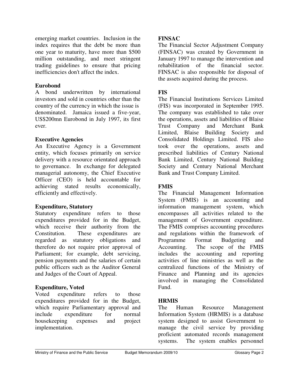emerging market countries. Inclusion in the index requires that the debt be more than one year to maturity, have more than \$500 million outstanding, and meet stringent trading guidelines to ensure that pricing inefficiencies don't affect the index.

### **Eurobond**

A bond underwritten by international investors and sold in countries other than the country of the currency in which the issue is denominated. Jamaica issued a five-year, US\$200mn Eurobond in July 1997, its first ever.

### **Executive Agencies**

An Executive Agency is a Government entity, which focuses primarily on service delivery with a resource orientated approach to governance. In exchange for delegated managerial autonomy, the Chief Executive Officer (CEO) is held accountable for achieving stated results economically, efficiently and effectively.

### **Expenditure, Statutory**

Statutory expenditure refers to those expenditures provided for in the Budget, which receive their authority from the Constitution. These expenditures are regarded as statutory obligations and therefore do not require prior approval of Parliament; for example, debt servicing, pension payments and the salaries of certain public officers such as the Auditor General and Judges of the Court of Appeal.

### **Expenditure, Voted**

Voted expenditure refers to those expenditures provided for in the Budget, which require Parliamentary approval and include expenditure for normal housekeeping expenses and project implementation.

### **FINSAC**

The Financial Sector Adjustment Company (FINSAC) was created by Government in January 1997 to manage the intervention and rehabilitation of the financial sector. FINSAC is also responsible for disposal of the assets acquired during the process.

### **FIS**

The Financial Institutions Services Limited (FIS) was incorporated in September 1995. The company was established to take over the operations, assets and liabilities of Blaise Trust Company and Merchant Bank Limited, Blaise Building Society and Consolidated Holdings Limited. FIS also took over the operations, assets and prescribed liabilities of Century National Bank Limited, Century National Building Society and Century National Merchant Bank and Trust Company Limited.

### **FMIS**

The Financial Management Information System (FMIS) is an accounting and information management system, which encompasses all activities related to the management of Government expenditure. The FMIS comprises accounting procedures and regulations within the framework of Programme Format Budgeting and Accounting. The scope of the FMIS includes the accounting and reporting activities of line ministries as well as the centralized functions of the Ministry of Finance and Planning and its agencies involved in managing the Consolidated Fund.

### **HRMIS**

The Human Resource Management Information System (HRMIS) is a database system designed to assist Government to manage the civil service by providing proficient automated records management systems. The system enables personnel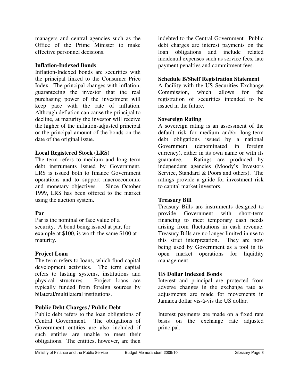managers and central agencies such as the Office of the Prime Minister to make effective personnel decisions.

### **Inflation-Indexed Bonds**

Inflation-Indexed bonds are securities with the principal linked to the Consumer Price Index. The principal changes with inflation, guaranteeing the investor that the real purchasing power of the investment will keep pace with the rate of inflation. Although deflation can cause the principal to decline, at maturity the investor will receive the higher of the inflation-adjusted principal or the principal amount of the bonds on the date of the original issue.

### **Local Registered Stock (LRS)**

The term refers to medium and long term debt instruments issued by Government. LRS is issued both to finance Government operations and to support macroeconomic and monetary objectives. Since October 1999, LRS has been offered to the market using the auction system.

## **Par**

Par is the nominal or face value of a security. A bond being issued at par, for example at \$100, is worth the same \$100 at maturity.

## **Project Loan**

The term refers to loans, which fund capital development activities. The term capital refers to lasting systems, institutions and physical structures. Project loans are typically funded from foreign sources by bilateral/multilateral institutions.

## **Public Debt Charges / Public Debt**

Public debt refers to the loan obligations of Central Government. The obligations of Government entities are also included if such entities are unable to meet their obligations. The entities, however, are then indebted to the Central Government. Public debt charges are interest payments on the loan obligations and include related incidental expenses such as service fees, late payment penalties and commitment fees.

### **Schedule B/Shelf Registration Statement**

A facility with the US Securities Exchange Commission, which allows for the registration of securities intended to be issued in the future.

### **Sovereign Rating**

A sovereign rating is an assessment of the default risk for medium and/or long-term debt obligations issued by a national Government (denominated in foreign currency), either in its own name or with its guarantee. Ratings are produced by independent agencies (Moody's Investors Service, Standard & Poors and others). The ratings provide a guide for investment risk to capital market investors.

## **Treasury Bill**

Treasury Bills are instruments designed to provide Government with short-term financing to meet temporary cash needs arising from fluctuations in cash revenue. Treasury Bills are no longer limited in use to this strict interpretation. They are now being used by Government as a tool in its open market operations for liquidity management.

## **US Dollar Indexed Bonds**

Interest and principal are protected from adverse changes in the exchange rate as adjustments are made for movements in Jamaica dollar vis-à-vis the US dollar.

Interest payments are made on a fixed rate basis on the exchange rate adjusted principal.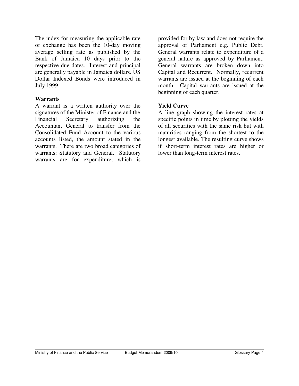The index for measuring the applicable rate of exchange has been the 10-day moving average selling rate as published by the Bank of Jamaica 10 days prior to the respective due dates. Interest and principal are generally payable in Jamaica dollars. US Dollar Indexed Bonds were introduced in July 1999.

### **Warrants**

A warrant is a written authority over the signatures of the Minister of Finance and the Financial Secretary authorizing the Accountant General to transfer from the Consolidated Fund Account to the various accounts listed, the amount stated in the warrants. There are two broad categories of warrants: Statutory and General. Statutory warrants are for expenditure, which is

provided for by law and does not require the approval of Parliament e.g. Public Debt. General warrants relate to expenditure of a general nature as approved by Parliament. General warrants are broken down into Capital and Recurrent. Normally, recurrent warrants are issued at the beginning of each month. Capital warrants are issued at the beginning of each quarter.

### **Yield Curve**

A line graph showing the interest rates at specific points in time by plotting the yields of all securities with the same risk but with maturities ranging from the shortest to the longest available. The resulting curve shows if short-term interest rates are higher or lower than long-term interest rates.